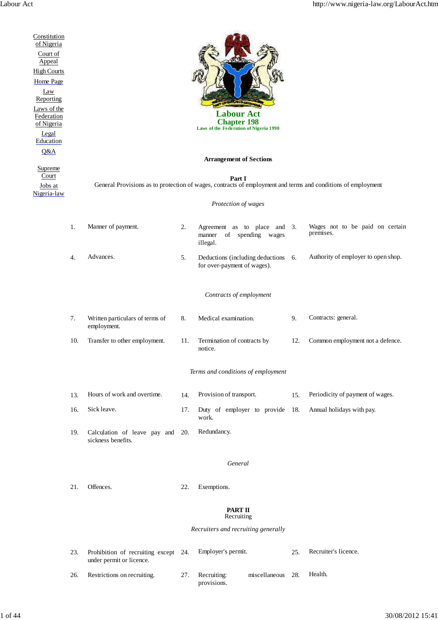| Constitution<br>of Nigeria<br>Court of<br>Appeal<br><b>High Courts</b><br>Home Page<br>Law<br>Reporting<br>Laws of the<br>Federation<br>of Nigeria<br>Legal<br>Education<br>Q&A<br>Supreme<br>Court<br>Jobs at<br>Nigeria-law |         | <b>Labour Act</b><br><b>Chapter 198</b><br>Laws of the Federation of Nigeria 1990<br><b>Arrangement of Sections</b><br>Part I<br>General Provisions as to protection of wages, contracts of employment and terms and conditions of employment<br>Protection of wages |     |                                                                               |     |                                              |  |  |  |  |
|-------------------------------------------------------------------------------------------------------------------------------------------------------------------------------------------------------------------------------|---------|----------------------------------------------------------------------------------------------------------------------------------------------------------------------------------------------------------------------------------------------------------------------|-----|-------------------------------------------------------------------------------|-----|----------------------------------------------|--|--|--|--|
|                                                                                                                                                                                                                               |         |                                                                                                                                                                                                                                                                      |     |                                                                               |     |                                              |  |  |  |  |
|                                                                                                                                                                                                                               | 1.      | Manner of payment.                                                                                                                                                                                                                                                   | 2.  | Agreement as to place<br>and $3$ .<br>of spending wages<br>manner<br>illegal. |     | Wages not to be paid on certain<br>premises. |  |  |  |  |
|                                                                                                                                                                                                                               | 4.      | Advances.                                                                                                                                                                                                                                                            | 5.  | Deductions (including deductions 6.<br>for over-payment of wages).            |     | Authority of employer to open shop.          |  |  |  |  |
|                                                                                                                                                                                                                               |         |                                                                                                                                                                                                                                                                      |     | Contracts of employment                                                       |     |                                              |  |  |  |  |
|                                                                                                                                                                                                                               | 7.      | Written particulars of terms of<br>employment.                                                                                                                                                                                                                       | 8.  | Medical examination.                                                          | 9.  | Contracts: general.                          |  |  |  |  |
|                                                                                                                                                                                                                               | 10.     | Transfer to other employment.                                                                                                                                                                                                                                        | 11. | Termination of contracts by<br>notice.                                        | 12. | Common employment not a defence.             |  |  |  |  |
|                                                                                                                                                                                                                               |         | Terms and conditions of employment                                                                                                                                                                                                                                   |     |                                                                               |     |                                              |  |  |  |  |
|                                                                                                                                                                                                                               | 13.     | Hours of work and overtime.                                                                                                                                                                                                                                          | 14. | Provision of transport.                                                       | 15. | Periodicity of payment of wages.             |  |  |  |  |
|                                                                                                                                                                                                                               | 16.     | Sick leave.                                                                                                                                                                                                                                                          | 17. | Duty of employer to provide 18.<br>work.                                      |     | Annual holidays with pay.                    |  |  |  |  |
|                                                                                                                                                                                                                               | 19.     | Calculation of leave pay and 20.<br>sickness benefits.                                                                                                                                                                                                               |     | Redundancy.                                                                   |     |                                              |  |  |  |  |
|                                                                                                                                                                                                                               | General |                                                                                                                                                                                                                                                                      |     |                                                                               |     |                                              |  |  |  |  |
|                                                                                                                                                                                                                               | 21.     | Offences.                                                                                                                                                                                                                                                            | 22. | Exemptions.                                                                   |     |                                              |  |  |  |  |
|                                                                                                                                                                                                                               |         | <b>PART II</b><br>Recruiting<br>Recruiters and recruiting generally                                                                                                                                                                                                  |     |                                                                               |     |                                              |  |  |  |  |
|                                                                                                                                                                                                                               |         |                                                                                                                                                                                                                                                                      |     |                                                                               |     |                                              |  |  |  |  |
|                                                                                                                                                                                                                               | 23.     | Prohibition of recruiting except 24.<br>under permit or licence.                                                                                                                                                                                                     |     | Employer's permit.                                                            | 25. | Recruiter's licence.                         |  |  |  |  |
|                                                                                                                                                                                                                               | 26.     | Restrictions on recruiting.                                                                                                                                                                                                                                          | 27. | Recruiting:<br>miscellaneous<br>provisions.                                   | 28. | Health.                                      |  |  |  |  |
|                                                                                                                                                                                                                               |         |                                                                                                                                                                                                                                                                      |     |                                                                               |     |                                              |  |  |  |  |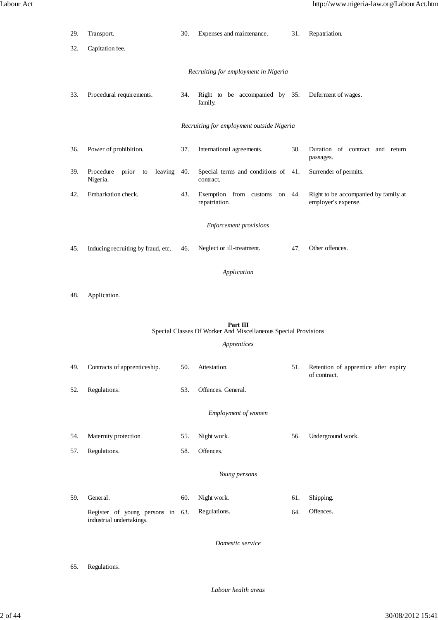| 29.                                                                           | Transport.                                                   | 30. | Expenses and maintenance.                         | 31. | Repatriation.                                               |  |  |  |  |  |
|-------------------------------------------------------------------------------|--------------------------------------------------------------|-----|---------------------------------------------------|-----|-------------------------------------------------------------|--|--|--|--|--|
| 32.                                                                           | Capitation fee.                                              |     |                                                   |     |                                                             |  |  |  |  |  |
| Recruiting for employment in Nigeria                                          |                                                              |     |                                                   |     |                                                             |  |  |  |  |  |
| 33.                                                                           | Procedural requirements.                                     |     | Right to be accompanied by 35.<br>family.         |     | Deferment of wages.                                         |  |  |  |  |  |
| Recruiting for employment outside Nigeria                                     |                                                              |     |                                                   |     |                                                             |  |  |  |  |  |
| 36.                                                                           | Power of prohibition.                                        | 37. | International agreements.                         | 38. | Duration of contract and return<br>passages.                |  |  |  |  |  |
| 39.                                                                           | Procedure<br>prior<br>leaving<br>to<br>Nigeria.              | 40. | Special terms and conditions of 41.<br>contract.  |     | Surrender of permits.                                       |  |  |  |  |  |
| 42.                                                                           | Embarkation check.                                           | 43. | Exemption from customs<br>on 44.<br>repatriation. |     | Right to be accompanied by family at<br>employer's expense. |  |  |  |  |  |
|                                                                               | <b>Enforcement provisions</b>                                |     |                                                   |     |                                                             |  |  |  |  |  |
| 45.                                                                           | Inducing recruiting by fraud, etc.                           | 46. | Neglect or ill-treatment.                         | 47. | Other offences.                                             |  |  |  |  |  |
| Application                                                                   |                                                              |     |                                                   |     |                                                             |  |  |  |  |  |
| 48.                                                                           | Application.                                                 |     |                                                   |     |                                                             |  |  |  |  |  |
| Part III                                                                      |                                                              |     |                                                   |     |                                                             |  |  |  |  |  |
| Special Classes Of Worker And Miscellaneous Special Provisions<br>Apprentices |                                                              |     |                                                   |     |                                                             |  |  |  |  |  |
| 49.                                                                           | Contracts of apprenticeship.                                 | 50. | Attestation.                                      | 51. | Retention of apprentice after expiry<br>of contract.        |  |  |  |  |  |
| 52.                                                                           | Regulations.                                                 | 53. | Offences. General.                                |     |                                                             |  |  |  |  |  |
| Employment of women                                                           |                                                              |     |                                                   |     |                                                             |  |  |  |  |  |
| 54.                                                                           | Maternity protection                                         | 55. | Night work.                                       | 56. | Underground work.                                           |  |  |  |  |  |
| 57.                                                                           | Regulations.                                                 | 58. | Offences.                                         |     |                                                             |  |  |  |  |  |
| Young persons                                                                 |                                                              |     |                                                   |     |                                                             |  |  |  |  |  |
| 59.                                                                           | General.                                                     | 60. | Night work.                                       | 61. | Shipping.                                                   |  |  |  |  |  |
|                                                                               | Register of young persons in 63.<br>industrial undertakings. |     | Regulations.                                      | 64. | Offences.                                                   |  |  |  |  |  |
| Domestic service                                                              |                                                              |     |                                                   |     |                                                             |  |  |  |  |  |
| 65.                                                                           | Regulations.                                                 |     |                                                   |     |                                                             |  |  |  |  |  |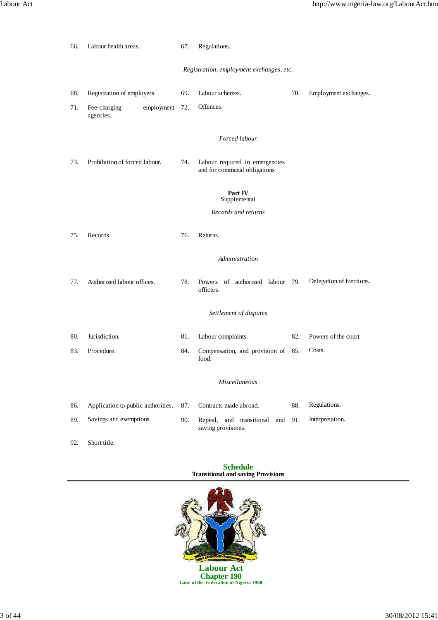| 66.                                      | Labour health areas.                    |     | Regulations.                                                   |     |                          |  |  |
|------------------------------------------|-----------------------------------------|-----|----------------------------------------------------------------|-----|--------------------------|--|--|
| Registration, employment exchanges, etc. |                                         |     |                                                                |     |                          |  |  |
| 68.                                      | Registration of employers.              | 69. | Labour schemes.                                                | 70. | Employment exchanges.    |  |  |
| 71.                                      | employment<br>Fee-charging<br>agencies. | 72. | Offences.                                                      |     |                          |  |  |
|                                          |                                         |     | Forced labour                                                  |     |                          |  |  |
| 73.                                      | Prohibition of forced labour.           | 74. | Labour required in emergencies<br>and for communal obligations |     |                          |  |  |
|                                          |                                         |     | Part IV<br>Supplemental                                        |     |                          |  |  |
|                                          |                                         |     | Records and returns                                            |     |                          |  |  |
| 75.                                      | Records.                                | 76. | Returns.                                                       |     |                          |  |  |
|                                          |                                         |     | Administration                                                 |     |                          |  |  |
| 77.                                      | Authorized labour offices.              | 78. | Powers of authorized labour 79.<br>officers.                   |     | Delegation of functions. |  |  |
|                                          |                                         |     | Settlement of disputes                                         |     |                          |  |  |
| 80.                                      | Jurisdiction.                           | 81. | Labour complaints.                                             | 82. | Powers of the court.     |  |  |
| 83.                                      | Procedure.                              | 84. | Compensation, and provision of 85.<br>food.                    |     | Costs.                   |  |  |
|                                          |                                         |     | Miscellaneous                                                  |     |                          |  |  |
| 86.                                      | Application to public authorities.      | 87. | Contracts made abroad.                                         | 88. | Regulations.             |  |  |
| 89.                                      | Savings and exemptions.                 | 90. | Repeal, and transitional<br>and<br>saving provisions.          | 91. | Interpretation.          |  |  |
| 92.                                      | Short title.                            |     |                                                                |     |                          |  |  |

# **Schedule Transitional and saving Provisions**



**Chapter 198 Laws of the Federation of Nigeria 1990**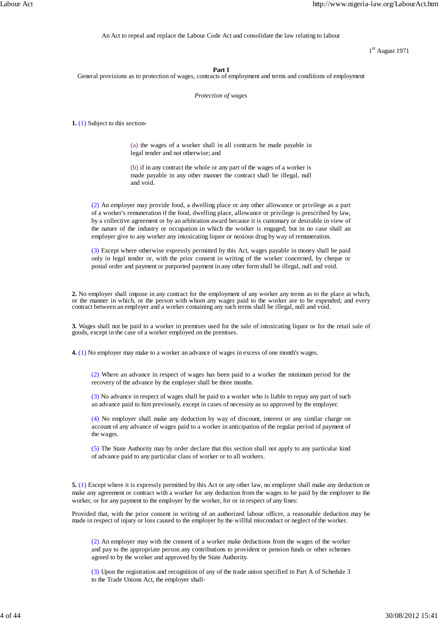An Act to repeal and replace the Labour Code Act and consolidate the law relating to labour

1<sup>st</sup> August 1971

# **Part I**

General provisions as to protection of wages, contracts of employment and terms and conditions of employment

# *Protection of wages*

**1.** (1) Subject to this section-

(a) the wages of a worker shall in all contracts be made payable in legal tender and not otherwise; and

(b) if in any contract the whole or any part of the wages of a worker is made payable in any other manner the contract shall be illegal, null and void.

(2) An employer may provide food, a dwelling place or any other allowance or privilege as a part of a worker's remuneration if the food, dwelling place, allowance or privilege is prescribed by law, by a collective agreement or by an arbitration award because it is customary or desirable in view of the nature of the industry or occupation in which the worker is engaged; but in no case shall an employer give to any worker any intoxicating liquor or noxious drug by way of remuneration.

(3) Except where otherwise expressly permitted by this Act, wages payable in money shall be paid only in legal tender or, with the prior consent in writing of the worker concerned, by cheque or postal order and payment or purported payment in any other form shall be illegal, null and void.

**2.** No employer shall impose in any contract for the employment of any worker any terms as to the place at which, or the manner in which, or the person with whom any wages paid to the worker are to be expended; and every contract between an employer and a worker containing any such terms shall be illegal, null and void.

**3.** Wages shall not be paid to a worker in premises used for the sale of intoxicating liquor or for the retail sale of goods, except in the case of a worker employed on the premises.

**4.** (1) No employer may make to a worker an advance of wages in excess of one month's wages.

(2) Where an advance in respect of wages has been paid to a worker the minimum period for the recovery of the advance by the employer shall be three months.

(3) No advance in respect of wages shall be paid to a worker who is liable to repay any part of such an advance paid to him previously, except in cases of necessity as so approved by the employer.

(4) No employer shall make any deduction by way of discount, interest or any similar charge on account of any advance of wages paid to a worker in anticipation of the regular period of payment of the wages.

(5) The State Authority may by order declare that this section shall not apply to any particular kind of advance paid to any particular class of worker or to all workers.

**5.** (1) Except where it is expressly permitted by this Act or any other law, no employer shall make any deduction or make any agreement or contract with a worker for any deduction from the wages to be paid by the employer to the worker, or for any payment to the employer by the worker, for or in respect of any fines:

Provided that, with the prior consent in writing of an authorized labour officer, a reasonable deduction may be made in respect of injury or loss caused to the employer by the willful misconduct or neglect of the worker.

(2) An employer may with the consent of a worker make deductions from the wages of the worker and pay to the appropriate person any contributions to provident or pension funds or other schemes agreed to by the worker and approved by the State Authority.

(3) Upon the registration and recognition of any of the trade union specified in Part A of Schedule 3 to the Trade Unions Act, the employer shall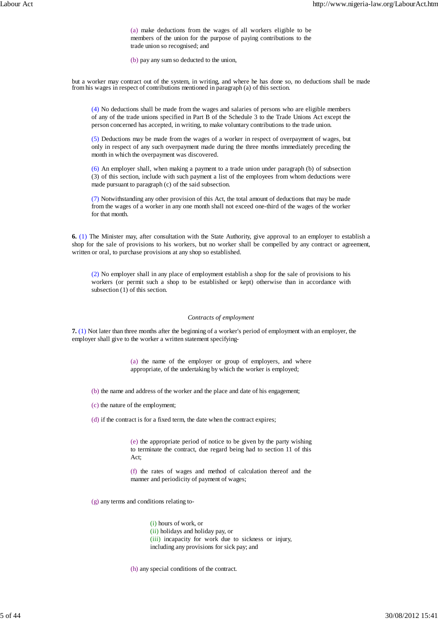(a) make deductions from the wages of all workers eligible to be members of the union for the purpose of paying contributions to the trade union so recognised; and

(b) pay any sum so deducted to the union,

but a worker may contract out of the system, in writing, and where he has done so, no deductions shall be made from his wages in respect of contributions mentioned in paragraph (a) of this section.

(4) No deductions shall be made from the wages and salaries of persons who are eligible members of any of the trade unions specified in Part B of the Schedule 3 to the Trade Unions Act except the person concerned has accepted, in writing, to make voluntary contributions to the trade union.

(5) Deductions may be made from the wages of a worker in respect of overpayment of wages, but only in respect of any such overpayment made during the three months immediately preceding the month in which the overpayment was discovered.

(6) An employer shall, when making a payment to a trade union under paragraph (b) of subsection (3) of this section, include with such payment a list of the employees from whom deductions were made pursuant to paragraph (c) of the said subsection.

(7) Notwithstanding any other provision of this Act, the total amount of deductions that may be made from the wages of a worker in any one month shall not exceed one-third of the wages of the worker for that month.

**6.** (1) The Minister may, after consultation with the State Authority, give approval to an employer to establish a shop for the sale of provisions to his workers, but no worker shall be compelled by any contract or agreement, written or oral, to purchase provisions at any shop so established.

(2) No employer shall in any place of employment establish a shop for the sale of provisions to his workers (or permit such a shop to be established or kept) otherwise than in accordance with subsection (1) of this section.

## *Contracts of employment*

**7.** (1) Not later than three months after the beginning of a worker's period of employment with an employer, the employer shall give to the worker a written statement specifying-

> (a) the name of the employer or group of employers, and where appropriate, of the undertaking by which the worker is employed;

- (b) the name and address of the worker and the place and date of his engagement;
- (c) the nature of the employment;

(d) if the contract is for a fixed term, the date when the contract expires;

(e) the appropriate period of notice to be given by the party wishing to terminate the contract, due regard being had to section 11 of this Act;

(f) the rates of wages and method of calculation thereof and the manner and periodicity of payment of wages;

(g) any terms and conditions relating to-

(i) hours of work, or (ii) holidays and holiday pay, or (iii) incapacity for work due to sickness or injury, including any provisions for sick pay; and

(h) any special conditions of the contract.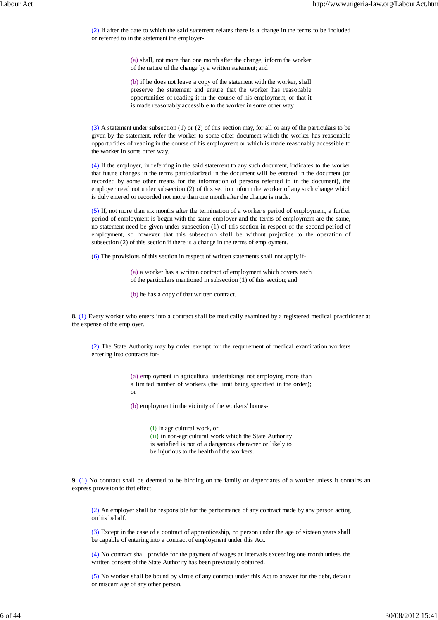(2) If after the date to which the said statement relates there is a change in the terms to be included or referred to in the statement the employer-

> (a) shall, not more than one month after the change, inform the worker of the nature of the change by a written statement; and

> (b) if he does not leave a copy of the statement with the worker, shall preserve the statement and ensure that the worker has reasonable opportunities of reading it in the course of his employment, or that it is made reasonably accessible to the worker in some other way.

(3) A statement under subsection (1) or (2) of this section may, for all or any of the particulars to be given by the statement, refer the worker to some other document which the worker has reasonable opportunities of reading in the course of his employment or which is made reasonably accessible to the worker in some other way.

(4) If the employer, in referring in the said statement to any such document, indicates to the worker that future changes in the terms particularized in the document will be entered in the document (or recorded by some other means for the information of persons referred to in the document), the employer need not under subsection (2) of this section inform the worker of any such change which is duly entered or recorded not more than one month after the change is made.

(5) If, not more than six months after the termination of a worker's period of employment, a further period of employment is begun with the same employer and the terms of employment are the same, no statement need be given under subsection (1) of this section in respect of the second period of employment, so however that this subsection shall be without prejudice to the operation of subsection (2) of this section if there is a change in the terms of employment.

(6) The provisions of this section in respect of written statements shall not apply if-

(a) a worker has a written contract of employment which covers each of the particulars mentioned in subsection (1) of this section; and

(b) he has a copy of that written contract.

**8.** (1) Every worker who enters into a contract shall be medically examined by a registered medical practitioner at the expense of the employer.

(2) The State Authority may by order exempt for the requirement of medical examination workers entering into contracts for-

> (a) employment in agricultural undertakings not employing more than a limited number of workers (the limit being specified in the order); or

(b) employment in the vicinity of the workers' homes-

(i) in agricultural work, or (ii) in non-agricultural work which the State Authority is satisfied is not of a dangerous character or likely to be injurious to the health of the workers.

**9.** (1) No contract shall be deemed to be binding on the family or dependants of a worker unless it contains an express provision to that effect.

(2) An employer shall be responsible for the performance of any contract made by any person acting on his behalf.

(3) Except in the case of a contract of apprenticeship, no person under the age of sixteen years shall be capable of entering into a contract of employment under this Act.

(4) No contract shall provide for the payment of wages at intervals exceeding one month unless the written consent of the State Authority has been previously obtained.

(5) No worker shall be bound by virtue of any contract under this Act to answer for the debt, default or miscarriage of any other person.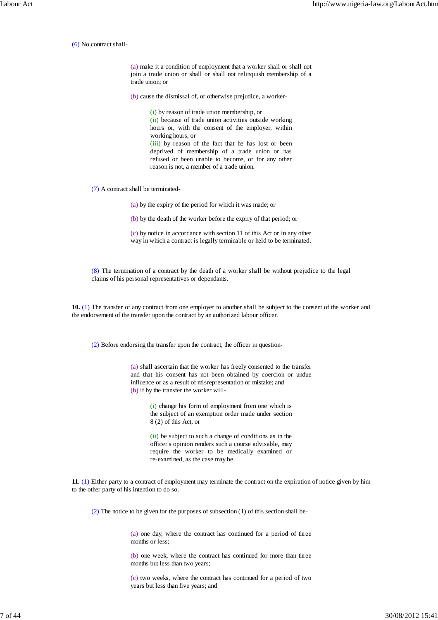(6) No contract shall-

(a) make it a condition of employment that a worker shall or shall not join a trade union or shall or shall not relinquish membership of a trade union; or

(b) cause the dismissal of, or otherwise prejudice, a worker-

(i) by reason of trade union membership, or (ii) because of trade union activities outside working hours or, with the consent of the employer, within working hours, or

(iii) by reason of the fact that he has lost or been deprived of membership of a trade union or has refused or been unable to become, or for any other reason is not, a member of a trade union.

(7) A contract shall be terminated-

(a) by the expiry of the period for which it was made; or

(b) by the death of the worker before the expiry of that period; or

(c) by notice in accordance with section 11 of this Act or in any other way in which a contract is legally terminable or held to be terminated.

(8) The termination of a contract by the death of a worker shall be without prejudice to the legal claims of his personal representatives or dependants.

**10.** (1) The transfer of any contract from one employer to another shall be subject to the consent of the worker and the endorsement of the transfer upon the contract by an authorized labour officer.

(2) Before endorsing the transfer upon the contract, the officer in question-

(a) shall ascertain that the worker has freely consented to the transfer and that his consent has not been obtained by coercion or undue influence or as a result of misrepresentation or mistake; and (b) if by the transfer the worker will-

> (i) change his form of employment from one which is the subject of an exemption order made under section 8 (2) of this Act, or

> (ii) be subject to such a change of conditions as in the officer's opinion renders such a course advisable, may require the worker to be medically examined or re-examined, as the case may be.

**11.** (1) Either party to a contract of employment may terminate the contract on the expiration of notice given by him to the other party of his intention to do so.

(2) The notice to be given for the purposes of subsection (1) of this section shall be-

(a) one day, where the contract has continued for a period of three months or less;

(b) one week, where the contract has continued for more than three months but less than two years;

(c) two weeks, where the contract has continued for a period of two years but less than five years; and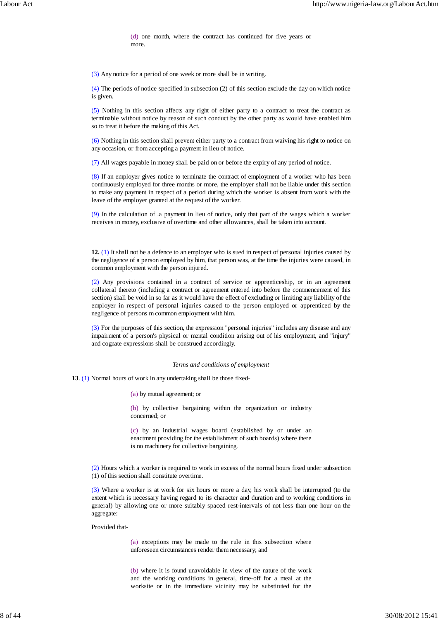(d) one month, where the contract has continued for five years or more.

(3) Any notice for a period of one week or more shall be in writing.

(4) The periods of notice specified in subsection (2) of this section exclude the day on which notice is given.

(5) Nothing in this section affects any right of either party to a contract to treat the contract as terminable without notice by reason of such conduct by the other party as would have enabled him so to treat it before the making of this Act.

(6) Nothing in this section shall prevent either party to a contract from waiving his right to notice on any occasion, or from accepting a payment in lieu of notice.

(7) All wages payable in money shall be paid on or before the expiry of any period of notice.

(8) If an employer gives notice to terminate the contract of employment of a worker who has been continuously employed for three months or more, the employer shall not be liable under this section to make any payment in respect of a period during which the worker is absent from work with the leave of the employer granted at the request of the worker.

(9) In the calculation of .a payment in lieu of notice, only that part of the wages which a worker receives in money, exclusive of overtime and other allowances, shall be taken into account.

**12.** (1) It shall not be a defence to an employer who is sued in respect of personal injuries caused by the negligence of a person employed by him, that person was, at the time the injuries were caused, in common employment with the person injured.

(2) Any provisions contained in a contract of service or apprenticeship, or in an agreement collateral thereto (including a contract or agreement entered into before the commencement of this section) shall be void in so far as it would have the effect of excluding or limiting any liability of the employer in respect of personal injuries caused to the person employed or apprenticed by the negligence of persons m common employment with him.

(3) For the purposes of this section, the expression "personal injuries" includes any disease and any impairment of a person's physical or mental condition arising out of his employment, and "injury" and cognate expressions shall be construed accordingly.

### *Terms and conditions of employment*

**13**. (1) Normal hours of work in any undertaking shall be those fixed-

(a) by mutual agreement; or

(b) by collective bargaining within the organization or industry concerned; or

(c) by an industrial wages board (established by or under an enactment providing for the establishment of such boards) where there is no machinery for collective bargaining.

(2) Hours which a worker is required to work in excess of the normal hours fixed under subsection (1) of this section shall constitute overtime.

(3) Where a worker is at work for six hours or more a day, his work shall be interrupted (to the extent which is necessary having regard to its character and duration and to working conditions in general) by allowing one or more suitably spaced rest-intervals of not less than one hour on the aggregate:

Provided that-

(a) exceptions may be made to the rule in this subsection where unforeseen circumstances render them necessary; and

(b) where it is found unavoidable in view of the nature of the work and the working conditions in general, time-off for a meal at the worksite or in the immediate vicinity may be substituted for the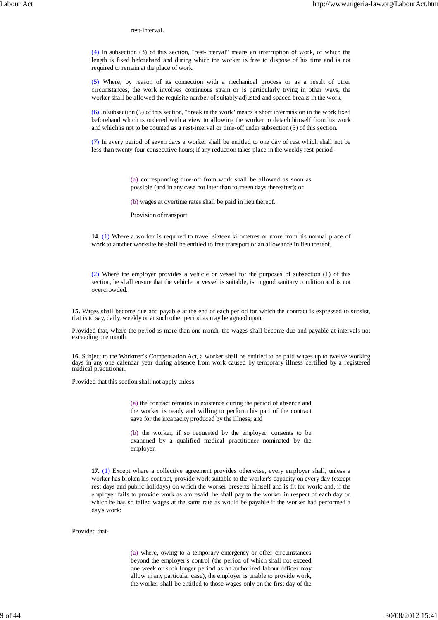rest-interval.

(4) In subsection (3) of this section, "rest-interval" means an interruption of work, of which the length is fixed beforehand and during which the worker is free to dispose of his time and is not required to remain at the place of work.

(5) Where, by reason of its connection with a mechanical process or as a result of other circumstances, the work involves continuous strain or is particularly trying in other ways, the worker shall be allowed the requisite number of suitably adjusted and spaced breaks in the work.

(6) In subsection (5) of this section, "break in the work" means a short intermission in the work fixed beforehand which is ordered with a view to allowing the worker to detach himself from his work and which is not to be counted as a rest-interval or time-off under subsection (3) of this section.

(7) In every period of seven days a worker shall be entitled to one day of rest which shall not be less than twenty-four consecutive hours; if any reduction takes place in the weekly rest-period-

> (a) corresponding time-off from work shall be allowed as soon as possible (and in any case not later than fourteen days thereafter); or

(b) wages at overtime rates shall be paid in lieu thereof.

Provision of transport

**14**. (1) Where a worker is required to travel sixteen kilometres or more from his normal place of work to another worksite he shall be entitled to free transport or an allowance in lieu thereof.

(2) Where the employer provides a vehicle or vessel for the purposes of subsection (1) of this section, he shall ensure that the vehicle or vessel is suitable, is in good sanitary condition and is not overcrowded.

**15.** Wages shall become due and payable at the end of each period for which the contract is expressed to subsist, that is to say, daily, weekly or at such other period as may be agreed upon:

Provided that, where the period is more than one month, the wages shall become due and payable at intervals not exceeding one month.

**16.** Subject to the Workmen's Compensation Act, a worker shall be entitled to be paid wages up to twelve working days in any one calendar year during absence from work caused by temporary illness certified by a registered medical practitioner:

Provided that this section shall not apply unless-

(a) the contract remains in existence during the period of absence and the worker is ready and willing to perform his part of the contract save for the incapacity produced by the illness; and

(b) the worker, if so requested by the employer, consents to be examined by a qualified medical practitioner nominated by the employer.

**17.** (1) Except where a collective agreement provides otherwise, every employer shall, unless a worker has broken his contract, provide work suitable to the worker's capacity on every day (except rest days and public holidays) on which the worker presents himself and is fit for work; and, if the employer fails to provide work as aforesaid, he shall pay to the worker in respect of each day on which he has so failed wages at the same rate as would be payable if the worker had performed a day's work:

# Provided that-

(a) where, owing to a temporary emergency or other circumstances beyond the employer's control (the period of which shall not exceed one week or such longer period as an authorized labour officer may allow in any particular case), the employer is unable to provide work, the worker shall be entitled to those wages only on the first day of the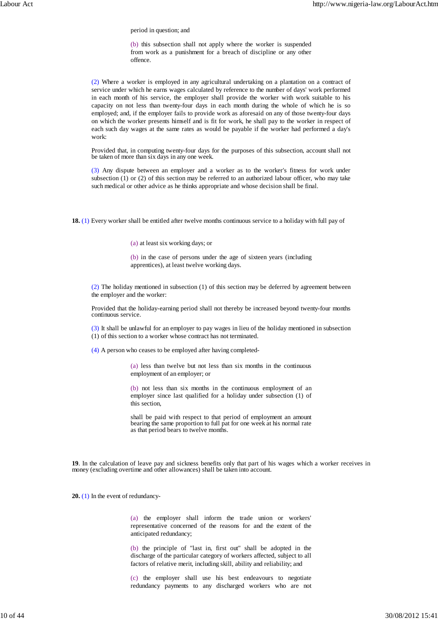period in question; and

(b) this subsection shall not apply where the worker is suspended from work as a punishment for a breach of discipline or any other offence.

(2) Where a worker is employed in any agricultural undertaking on a plantation on a contract of service under which he earns wages calculated by reference to the number of days' work performed in each month of his service, the employer shall provide the worker with work suitable to his capacity on not less than twenty-four days in each month during the whole of which he is so employed; and, if the employer fails to provide work as aforesaid on any of those twenty-four days on which the worker presents himself and is fit for work, he shall pay to the worker in respect of each such day wages at the same rates as would be payable if the worker had performed a day's work:

Provided that, in computing twenty-four days for the purposes of this subsection, account shall not be taken of more than six days in any one week.

(3) Any dispute between an employer and a worker as to the worker's fitness for work under subsection (1) or (2) of this section may be referred to an authorized labour officer, who may take such medical or other advice as he thinks appropriate and whose decision shall be final.

**18.** (1) Every worker shall be entitled after twelve months continuous service to a holiday with full pay of

(a) at least six working days; or

(b) in the case of persons under the age of sixteen years (including apprentices), at least twelve working days.

(2) The holiday mentioned in subsection (1) of this section may be deferred by agreement between the employer and the worker:

Provided that the holiday-earning period shall not thereby be increased beyond twenty-four months continuous service.

(3) It shall be unlawful for an employer to pay wages in lieu of the holiday mentioned in subsection (1) of this section to a worker whose contract has not terminated.

(4) A person who ceases to be employed after having completed-

(a) less than twelve but not less than six months in the continuous employment of an employer; or

(b) not less than six months in the continuous employment of an employer since last qualified for a holiday under subsection (1) of this section,

shall be paid with respect to that period of employment an amount bearing the same proportion to full pat for one week at his normal rate as that period bears to twelve months.

**19**. In the calculation of leave pay and sickness benefits only that part of his wages which a worker receives in money (excluding overtime and other allowances) shall be taken into account.

**20.** (1) In the event of redundancy-

(a) the employer shall inform the trade union or workers' representative concerned of the reasons for and the extent of the anticipated redundancy;

(b) the principle of "last in, first out" shall be adopted in the discharge of the particular category of workers affected, subject to all factors of relative merit, including skill, ability and reliability; and

(c) the employer shall use his best endeavours to negotiate redundancy payments to any discharged workers who are not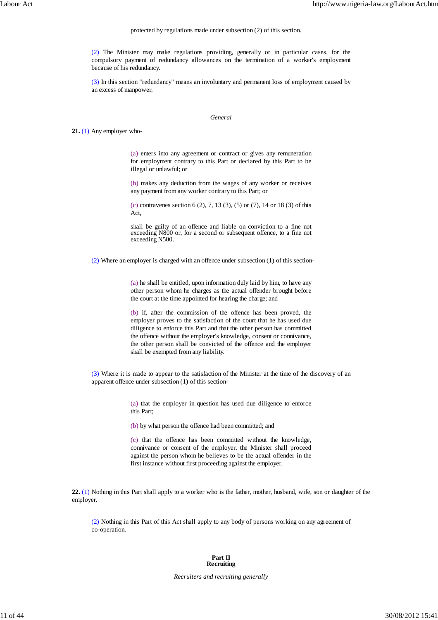### protected by regulations made under subsection (2) of this section.

(2) The Minister may make regulations providing, generally or in particular cases, for the compulsory payment of redundancy allowances on the termination of a worker's employment because of his redundancy.

(3) In this section "redundancy" means an involuntary and permanent loss of employment caused by an excess of manpower.

### *General*

**21.** (1) Any employer who-

(a) enters into any agreement or contract or gives any remuneration for employment contrary to this Part or declared by this Part to be illegal or unlawful; or

(b) makes any deduction from the wages of any worker or receives any payment from any worker contrary to this Part; or

(c) contravenes section 6 (2), 7, 13 (3), (5) or (7), 14 or 18 (3) of this Act,

shall be guilty of an offence and liable on conviction to a fine not exceeding N800 or, for a second or subsequent offence, to a fine not exceeding N500.

(2) Where an employer is charged with an offence under subsection (1) of this section-

(a) he shall be entitled, upon information duly laid by him, to have any other person whom he charges as the actual offender brought before the court at the time appointed for hearing the charge; and

(b) if, after the commission of the offence has been proved, the employer proves to the satisfaction of the court that he has used due diligence to enforce this Part and that the other person has committed the offence without the employer's knowledge, consent or connivance, the other person shall be convicted of the offence and the employer shall be exempted from any liability.

(3) Where it is made to appear to the satisfaction of the Minister at the time of the discovery of an apparent offence under subsection (1) of this section-

> (a) that the employer in question has used due diligence to enforce this Part;

(b) by what person the offence had been committed; and

(c) that the offence has been committed without the knowledge, connivance or consent of the employer, the Minister shall proceed against the person whom he believes to be the actual offender in the first instance without first proceeding against the employer.

**22.** (1) Nothing in this Part shall apply to a worker who is the father, mother, husband, wife, son or daughter of the employer.

(2) Nothing in this Part of this Act shall apply to any body of persons working on any agreement of co-operation.

### **Part II Recruiting**

*Recruiters and recruiting generally*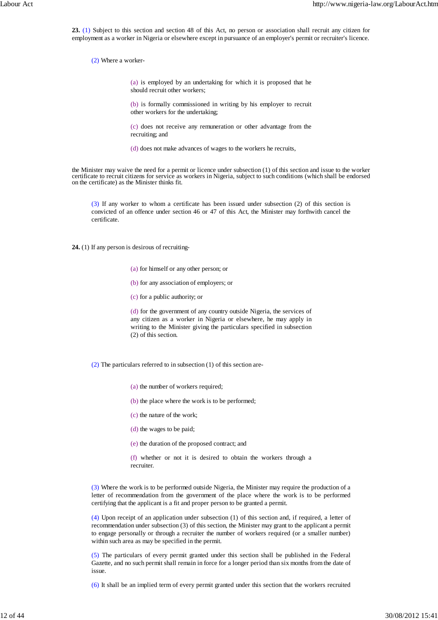**23.** (1) Subject to this section and section 48 of this Act, no person or association shall recruit any citizen for employment as a worker in Nigeria or elsewhere except in pursuance of an employer's permit or recruiter's licence.

(2) Where a worker-

(a) is employed by an undertaking for which it is proposed that he should recruit other workers;

(b) is formally commissioned in writing by his employer to recruit other workers for the undertaking;

(c) does not receive any remuneration or other advantage from the recruiting; and

(d) does not make advances of wages to the workers he recruits,

the Minister may waive the need for a permit or licence under subsection (1) of this section and issue to the worker certificate to recruit citizens for service as workers in Nigeria, subject to such conditions (which shall be endorsed on the certificate) as the Minister thinks fit.

(3) If any worker to whom a certificate has been issued under subsection (2) of this section is convicted of an offence under section 46 or 47 of this Act, the Minister may forthwith cancel the certificate.

**24.** (1) If any person is desirous of recruiting-

- (a) for himself or any other person; or
- (b) for any association of employers; or
- (c) for a public authority; or

(d) for the government of any country outside Nigeria, the services of any citizen as a worker in Nigeria or elsewhere, he may apply in writing to the Minister giving the particulars specified in subsection (2) of this section.

(2) The particulars referred to in subsection (1) of this section are-

(a) the number of workers required;

(b) the place where the work is to be performed;

- (c) the nature of the work;
- (d) the wages to be paid;

(e) the duration of the proposed contract; and

(f) whether or not it is desired to obtain the workers through a recruiter.

(3) Where the work is to be performed outside Nigeria, the Minister may require the production of a letter of recommendation from the government of the place where the work is to be performed certifying that the applicant is a fit and proper person to be granted a permit.

(4) Upon receipt of an application under subsection (1) of this section and, if required, a letter of recommendation under subsection (3) of this section, the Minister may grant to the applicant a permit to engage personally or through a recruiter the number of workers required (or a smaller number) within such area as may be specified in the permit.

(5) The particulars of every permit granted under this section shall be published in the Federal Gazette, and no such permit shall remain in force for a longer period than six months from the date of issue.

(6) It shall be an implied term of every permit granted under this section that the workers recruited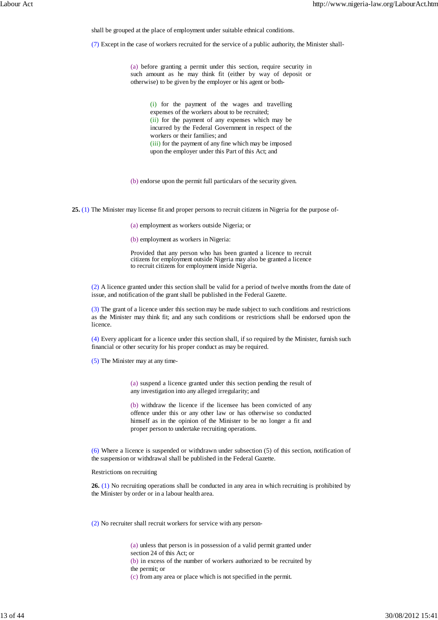shall be grouped at the place of employment under suitable ethnical conditions.

(7) Except in the case of workers recruited for the service of a public authority, the Minister shall-

(a) before granting a permit under this section, require security in such amount as he may think fit (either by way of deposit or otherwise) to be given by the employer or his agent or both-

> (i) for the payment of the wages and travelling expenses of the workers about to be recruited; (ii) for the payment of any expenses which may be incurred by the Federal Government in respect of the workers or their families; and (iii) for the payment of any fine which may be imposed upon the employer under this Part of this Act; and

(b) endorse upon the permit full particulars of the security given.

**25.** (1) The Minister may license fit and proper persons to recruit citizens in Nigeria for the purpose of-

(a) employment as workers outside Nigeria; or

(b) employment as workers in Nigeria:

Provided that any person who has been granted a licence to recruit citizens for employment outside Nigeria may also be granted a licence to recruit citizens for employment inside Nigeria.

(2) A licence granted under this section shall be valid for a period of twelve months from the date of issue, and notification of the grant shall be published in the Federal Gazette.

(3) The grant of a licence under this section may be made subject to such conditions and restrictions as the Minister may think fit; and any such conditions or restrictions shall be endorsed upon the licence.

(4) Every applicant for a licence under this section shall, if so required by the Minister, furnish such financial or other security for his proper conduct as may be required.

(5) The Minister may at any time-

(a) suspend a licence granted under this section pending the result of any investigation into any alleged irregularity; and

(b) withdraw the licence if the licensee has been convicted of any offence under this or any other law or has otherwise so conducted himself as in the opinion of the Minister to be no longer a fit and proper person to undertake recruiting operations.

(6) Where a licence is suspended or withdrawn under subsection (5) of this section, notification of the suspension or withdrawal shall be published in the Federal Gazette.

Restrictions on recruiting

**26.** (1) No recruiting operations shall be conducted in any area in which recruiting is prohibited by the Minister by order or in a labour health area.

(2) No recruiter shall recruit workers for service with any person-

(a) unless that person is in possession of a valid permit granted under section 24 of this Act; or

(b) in excess of the number of workers authorized to be recruited by

the permit; or

(c) from any area or place which is not specified in the permit.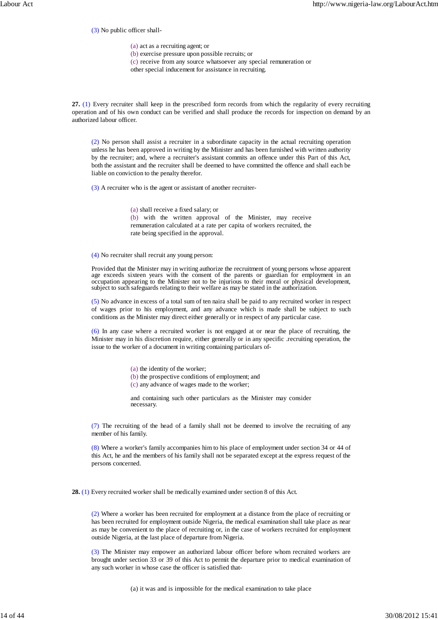(3) No public officer shall-

(a) act as a recruiting agent; or

(b) exercise pressure upon possible recruits; or

(c) receive from any source whatsoever any special remuneration or

other special inducement for assistance in recruiting.

**27.** (1) Every recruiter shall keep in the prescribed form records from which the regularity of every recruiting operation and of his own conduct can be verified and shall produce the records for inspection on demand by an authorized labour officer.

(2) No person shall assist a recruiter in a subordinate capacity in the actual recruiting operation unless he has been approved in writing by the Minister and has been furnished with written authority by the recruiter; and, where a recruiter's assistant commits an offence under this Part of this Act, both the assistant and the recruiter shall be deemed to have committed the offence and shall each be liable on conviction to the penalty therefor.

(3) A recruiter who is the agent or assistant of another recruiter-

(a) shall receive a fixed salary; or (b) with the written approval of the Minister, may receive remuneration calculated at a rate per capita of workers recruited, the rate being specified in the approval.

(4) No recruiter shall recruit any young person:

Provided that the Minister may in writing authorize the recruitment of young persons whose apparent age exceeds sixteen years with the consent of the parents or guardian for employment in an occupation appearing to the Minister not to be injurious to their moral or physical development, subject to such safeguards relating to their welfare as may be stated in the authorization.

(5) No advance in excess of a total sum of ten naira shall be paid to any recruited worker in respect of wages prior to his employment, and any advance which is made shall be subject to such conditions as the Minister may direct either generally or in respect of any particular case.

(6) In any case where a recruited worker is not engaged at or near the place of recruiting, the Minister may in his discretion require, either generally or in any specific .recruiting operation, the issue to the worker of a document in writing containing particulars of-

(a) the identity of the worker;

(b) the prospective conditions of employment; and

(c) any advance of wages made to the worker;

and containing such other particulars as the Minister may consider necessary.

(7) The recruiting of the head of a family shall not be deemed to involve the recruiting of any member of his family.

(8) Where a worker's family accompanies him to his place of employment under section 34 or 44 of this Act, he and the members of his family shall not be separated except at the express request of the persons concerned.

**28.** (1) Every recruited worker shall be medically examined under section 8 of this Act.

(2) Where a worker has been recruited for employment at a distance from the place of recruiting or has been recruited for employment outside Nigeria, the medical examination shall take place as near as may be convenient to the place of recruiting or, in the case of workers recruited for employment outside Nigeria, at the last place of departure from Nigeria.

(3) The Minister may empower an authorized labour officer before whom recruited workers are brought under section 33 or 39 of this Act to permit the departure prior to medical examination of any such worker in whose case the officer is satisfied that-

(a) it was and is impossible for the medical examination to take place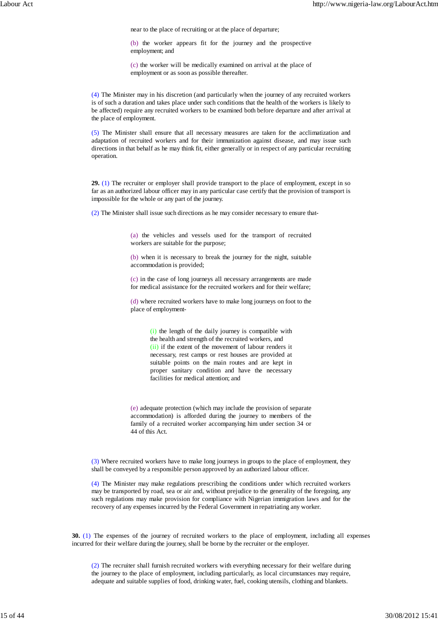near to the place of recruiting or at the place of departure;

(b) the worker appears fit for the journey and the prospective employment; and

(c) the worker will be medically examined on arrival at the place of employment or as soon as possible thereafter.

(4) The Minister may in his discretion (and particularly when the journey of any recruited workers is of such a duration and takes place under such conditions that the health of the workers is likely to be affected) require any recruited workers to be examined both before departure and after arrival at the place of employment.

(5) The Minister shall ensure that all necessary measures are taken for the acclimatization and adaptation of recruited workers and for their immunization against disease, and may issue such directions in that behalf as he may think fit, either generally or in respect of any particular recruiting operation.

**29.** (1) The recruiter or employer shall provide transport to the place of employment, except in so far as an authorized labour officer may in any particular case certify that the provision of transport is impossible for the whole or any part of the journey.

(2) The Minister shall issue such directions as he may consider necessary to ensure that-

(a) the vehicles and vessels used for the transport of recruited workers are suitable for the purpose;

(b) when it is necessary to break the journey for the night, suitable accommodation is provided;

(c) in the case of long journeys all necessary arrangements are made for medical assistance for the recruited workers and for their welfare;

(d) where recruited workers have to make long journeys on foot to the place of employment-

> (i) the length of the daily journey is compatible with the health and strength of the recruited workers, and (ii) if the extent of the movement of labour renders it necessary, rest camps or rest houses are provided at suitable points on the main routes and are kept in proper sanitary condition and have the necessary facilities for medical attention; and

(e) adequate protection (which may include the provision of separate accommodation) is afforded during the journey to members of the family of a recruited worker accompanying him under section 34 or 44 of this Act.

(3) Where recruited workers have to make long journeys in groups to the place of employment, they shall be conveyed by a responsible person approved by an authorized labour officer.

(4) The Minister may make regulations prescribing the conditions under which recruited workers may be transported by road, sea or air and, without prejudice to the generality of the foregoing, any such regulations may make provision for compliance with Nigerian immigration laws and for the recovery of any expenses incurred by the Federal Government in repatriating any worker.

**30.** (1) The expenses of the journey of recruited workers to the place of employment, including all expenses incurred for their welfare during the journey, shall be borne by the recruiter or the employer.

(2) The recruiter shall furnish recruited workers with everything necessary for their welfare during the journey to the place of employment, including particularly, as local circumstances may require, adequate and suitable supplies of food, drinking water, fuel, cooking utensils, clothing and blankets.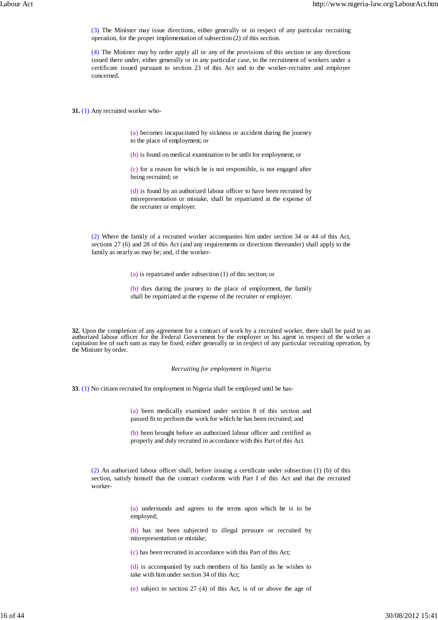(3) The Minister may issue directions, either generally or in respect of any particular recruiting operation, for the proper implementation of subsection (2) of this section.

(4) The Minister may by order apply all or any of the provisions of this section or any directions issued there under, either generally or in any particular case, to the recruitment of workers under a certificate issued pursuant to section 23 of this Act and to the worker-recruiter and employer concerned.

**31.** (1) Any recruited worker who-

(a) becomes incapacitated by sickness or accident during the journey to the place of employment; or

(b) is found on medical examination to be unfit for employment; or

(c) for a reason for which he is not responsible, is not engaged after being recruited; or

(d) is found by an authorized labour officer to have been recruited by misrepresentation or mistake, shall be repatriated at the expense of the recruiter or employer.

(2) Where the family of a recruited worker accompanies him under section 34 or 44 of this Act, sections 27 (6) and 28 of this Act (and any requirements or directions thereunder) shall apply to the family as nearly as may be; and, if the worker-

(a) is repatriated under subsection (1) of this section; or

(b) dies during the journey to the place of employment, the family shall be repatriated at the expense of the recruiter or employer.

**32.** Upon the completion of any agreement for a contract of work by a recruited worker, there shall be paid to an authorized labour officer for the Federal Government by the employer or his agent in respect of the worker a capitation fee of such sum as may be fixed, either generally or in respect of any particular recruiting operation, by the Minister by order.

*Recruiting for employment in Nigeria*

**33**. (1) No citizen recruited for employment in Nigeria shall be employed until he has-

(a) been medically examined under section 8 of this section and passed fit to perform the work for which he has been recruited; and

(b) been brought before an authorized labour officer and certified as properly and duly recruited in accordance with this Part of this Act.

(2) An authorized labour officer shall, before issuing a certificate under subsection (1) (b) of this section, satisfy himself that the contract conforms with Part I of this Act and that the recruited worker-

> (a) understands and agrees to the terms upon which he is to be employed;

> (b) has not been subjected to illegal pressure or recruited by misrepresentation or mistake;

(c) has been recruited in accordance with this Part of this Act;

(d) is accompanied by such members of his family as he wishes to take with him under section 34 of this Act;

(e) subject to section 27 (4) of this Act, is of or above the age of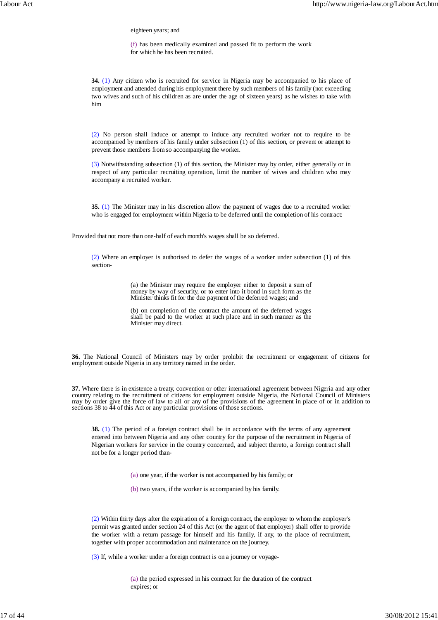eighteen years; and

(f) has been medically examined and passed fit to perform the work for which he has been recruited.

**34.** (1) Any citizen who is recruited for service in Nigeria may be accompanied to his place of employment and attended during his employment there by such members of his family (not exceeding two wives and such of his children as are under the age of sixteen years) as he wishes to take with him

(2) No person shall induce or attempt to induce any recruited worker not to require to be accompanied by members of his family under subsection (1) of this section, or prevent or attempt to prevent those members from so accompanying the worker.

(3) Notwithstanding subsection (1) of this section, the Minister may by order, either generally or in respect of any particular recruiting operation, limit the number of wives and children who may accompany a recruited worker.

**35.** (1) The Minister may in his discretion allow the payment of wages due to a recruited worker who is engaged for employment within Nigeria to be deferred until the completion of his contract:

Provided that not more than one-half of each month's wages shall be so deferred.

(2) Where an employer is authorised to defer the wages of a worker under subsection (1) of this section-

> (a) the Minister may require the employer either to deposit a sum of money by way of security, or to enter into it bond in such form as the Minister thinks fit for the due payment of the deferred wages; and

> (b) on completion of the contract the amount of the deferred wages shall be paid to the worker at such place and in such manner as the Minister may direct.

**36.** The National Council of Ministers may by order prohibit the recruitment or engagement of citizens for employment outside Nigeria in any territory named in the order.

**37.** Where there is in existence a treaty, convention or other international agreement between Nigeria and any other country relating to the recruitment of citizens for employment outside Nigeria, the National Council of Ministers may by order give the force of law to all or any of the provisions of the agreement in place of or in addition to sections 38 to 44 of this Act or any particular provisions of those sections.

**38.** (1) The period of a foreign contract shall be in accordance with the terms of any agreement entered into between Nigeria and any other country for the purpose of the recruitment in Nigeria of Nigerian workers for service in the country concerned, and subject thereto, a foreign contract shall not be for a longer period than-

(a) one year, if the worker is not accompanied by his family; or

(b) two years, if the worker is accompanied by his family.

(2) Within thirty days after the expiration of a foreign contract, the employer to whom the employer's permit was granted under section 24 of this Act (or the agent of that employer) shall offer to provide the worker with a return passage for himself and his family, if any, to the place of recruitment, together with proper accommodation and maintenance on the journey.

(3) If, while a worker under a foreign contract is on a journey or voyage-

(a) the period expressed in his contract for the duration of the contract expires; or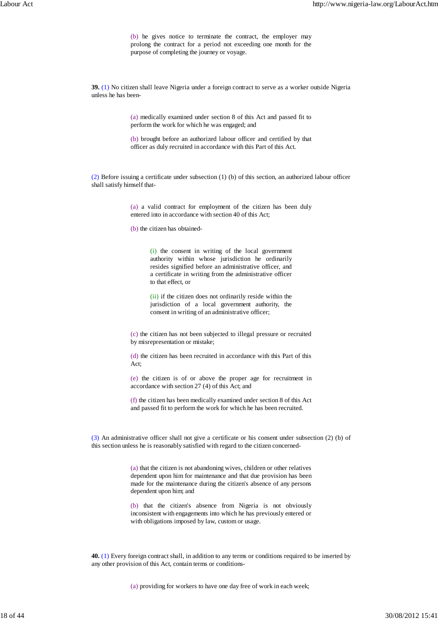(b) he gives notice to terminate the contract, the employer may prolong the contract for a period not exceeding one month for the purpose of completing the journey or voyage.

**39.** (1) No citizen shall leave Nigeria under a foreign contract to serve as a worker outside Nigeria unless he has been-

> (a) medically examined under section 8 of this Act and passed fit to perform the work for which he was engaged; and

> (b) brought before an authorized labour officer and certified by that officer as duly recruited in accordance with this Part of this Act.

(2) Before issuing a certificate under subsection (1) (b) of this section, an authorized labour officer shall satisfy himself that-

> (a) a valid contract for employment of the citizen has been duly entered into in accordance with section 40 of this Act;

(b) the citizen has obtained-

(i) the consent in writing of the local government authority within whose jurisdiction he ordinarily resides signified before an administrative officer, and a certificate in writing from the administrative officer to that effect, or

(ii) if the citizen does not ordinarily reside within the jurisdiction of a local government authority, the consent in writing of an administrative officer;

(c) the citizen has not been subjected to illegal pressure or recruited by misrepresentation or mistake;

(d) the citizen has been recruited in accordance with this Part of this Act;

(e) the citizen is of or above the proper age for recruitment in accordance with section 27 (4) of this Act; and

(f) the citizen has been medically examined under section 8 of this Act and passed fit to perform the work for which he has been recruited.

(3) An administrative officer shall not give a certificate or his consent under subsection (2) (b) of this section unless he is reasonably satisfied with regard to the citizen concerned-

> (a) that the citizen is not abandoning wives, children or other relatives dependent upon him for maintenance and that due provision has been made for the maintenance during the citizen's absence of any persons dependent upon him; and

> (b) that the citizen's absence from Nigeria is not obviously inconsistent with engagements into which he has previously entered or with obligations imposed by law, custom or usage.

**40.** (1) Every foreign contract shall, in addition to any terms or conditions required to be inserted by any other provision of this Act, contain terms or conditions-

(a) providing for workers to have one day free of work in each week;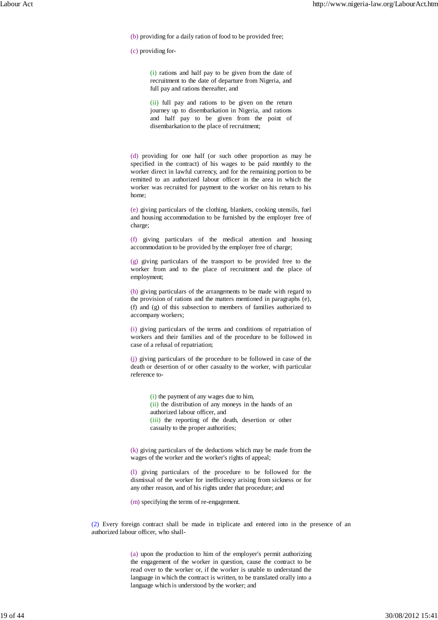(b) providing for a daily ration of food to be provided free;

(c) providing for-

(i) rations and half pay to be given from the date of recruitment to the date of departure from Nigeria, and full pay and rations thereafter, and

(ii) full pay and rations to be given on the return journey up to disembarkation in Nigeria, and rations and half pay to be given from the point of disembarkation to the place of recruitment;

(d) providing for one half (or such other proportion as may be specified in the contract) of his wages to be paid monthly to the worker direct in lawful currency, and for the remaining portion to be remitted to an authorized labour officer in the area in which the worker was recruited for payment to the worker on his return to his home;

(e) giving particulars of the clothing, blankets, cooking utensils, fuel and housing accommodation to be furnished by the employer free of charge;

(f) giving particulars of the medical attention and housing accommodation to be provided by the employer free of charge;

(g) giving particulars of the transport to be provided free to the worker from and to the place of recruitment and the place of employment;

(h) giving particulars of the arrangements to be made with regard to the provision of rations and the matters mentioned in paragraphs (e), (f) and (g) of this subsection to members of families authorized to accompany workers;

(i) giving particulars of the terms and conditions of repatriation of workers and their families and of the procedure to be followed in case of a refusal of repatriation;

(j) giving particulars of the procedure to be followed in case of the death or desertion of or other casualty to the worker, with particular reference to-

> (i) the payment of any wages due to him, (ii) the distribution of any moneys in the hands of an authorized labour officer, and (iii) the reporting of the death, desertion or other casualty to the proper authorities;

(k) giving particulars of the deductions which may be made from the wages of the worker and the worker's rights of appeal;

(l) giving particulars of the procedure to be followed for the dismissal of the worker for inefficiency arising from sickness or for any other reason, and of his rights under that procedure; and

(m) specifying the terms of re-engagement.

(2) Every foreign contract shall be made in triplicate and entered into in the presence of an authorized labour officer, who shall-

> (a) upon the production to him of the employer's permit authorizing the engagement of the worker in question, cause the contract to be read over to the worker or, if the worker is unable to understand the language in which the contract is written, to be translated orally into a language which is understood by the worker; and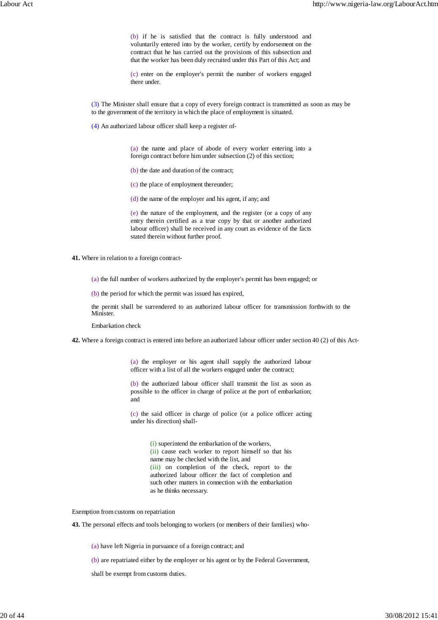(b) if he is satisfied that the contract is fully understood and voluntarily entered into by the worker, certify by endorsement on the contract that he has carried out the provisions of this subsection and that the worker has been duly recruited under this Part of this Act; and

(c) enter on the employer's permit the number of workers engaged there under.

(3) The Minister shall ensure that a copy of every foreign contract is transmitted as soon as may be to the government of the territory in which the place of employment is situated.

(4) An authorized labour officer shall keep a register of-

(a) the name and place of abode of every worker entering into a foreign contract before him under subsection (2) of this section;

(b) the date and duration of the contract;

(c) the place of employment thereunder;

(d) the name of the employer and his agent, if any; and

(e) the nature of the employment, and the register (or a copy of any entry therein certified as a true copy by that or another authorized labour officer) shall be received in any court as evidence of the facts stated therein without further proof.

**41.** Where in relation to a foreign contract-

(a) the full number of workers authorized by the employer's permit has been engaged; or

(b) the period for which the permit was issued has expired,

the permit shall be surrendered to an authorized labour officer for transmission forthwith to the Minister.

Embarkation check

**42.** Where a foreign contract is entered into before an authorized labour officer under section 40 (2) of this Act-

(a) the employer or his agent shall supply the authorized labour officer with a list of all the workers engaged under the contract;

(b) the authorized labour officer shall transmit the list as soon as possible to the officer in charge of police at the port of embarkation; and

(c) the said officer in charge of police (or a police officer acting under his direction) shall-

> (i) superintend the embarkation of the workers, (ii) cause each worker to report himself so that his name may be checked with the list, and (iii) on completion of the check, report to the authorized labour officer the fact of completion and such other matters in connection with the embarkation as he thinks necessary.

Exemption from customs on repatriation

**43.** The personal effects and tools belonging to workers (or members of their families) who-

(a) have left Nigeria in pursuance of a foreign contract; and

(b) are repatriated either by the employer or his agent or by the Federal Government,

shall be exempt from customs duties.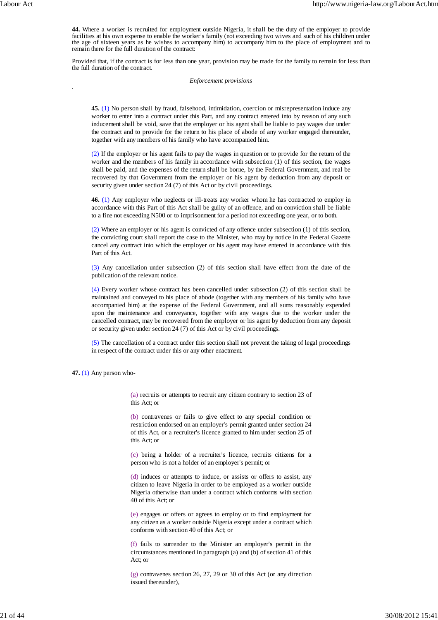.

**44.** Where a worker is recruited for employment outside Nigeria, it shall be the duty of the employer to provide facilities at his own expense to enable the worker's family (not exceeding two wives and such of his children under the age of sixteen years as he wishes to accompany him) to accompany him to the place of employment and to remain there for the full duration of the contract:

Provided that, if the contract is for less than one year, provision may be made for the family to remain for less than the full duration of the contract.

## *Enforcement provisions*

**45.** (1) No person shall by fraud, falsehood, intimidation, coercion or misrepresentation induce any worker to enter into a contract under this Part, and any contract entered into by reason of any such inducement shall be void, save that the employer or his agent shall be liable to pay wages due under the contract and to provide for the return to his place of abode of any worker engaged thereunder, together with any members of his family who have accompanied him.

(2) If the employer or his agent fails to pay the wages in question or to provide for the return of the worker and the members of his family in accordance with subsection (1) of this section, the wages shall be paid, and the expenses of the return shall be borne, by the Federal Government, and real be recovered by that Government from the employer or his agent by deduction from any deposit or security given under section 24 (7) of this Act or by civil proceedings.

**46.** (1) Any employer who neglects or ill-treats any worker whom he has contracted to employ in accordance with this Part of this Act shall be guilty of an offence, and on conviction shall be liable to a fine not exceeding N500 or to imprisonment for a period not exceeding one year, or to both.

(2) Where an employer or his agent is convicted of any offence under subsection (1) of this section, the convicting court shall report the case to the Minister, who may by notice in the Federal Gazette cancel any contract into which the employer or his agent may have entered in accordance with this Part of this Act.

(3) Any cancellation under subsection (2) of this section shall have effect from the date of the publication of the relevant notice.

(4) Every worker whose contract has been cancelled under subsection (2) of this section shall be maintained and conveyed to his place of abode (together with any members of his family who have accompanied him) at the expense of the Federal Government, and all sums reasonably expended upon the maintenance and conveyance, together with any wages due to the worker under the cancelled contract, may be recovered from the employer or his agent by deduction from any deposit or security given under section 24 (7) of this Act or by civil proceedings.

(5) The cancellation of a contract under this section shall not prevent the taking of legal proceedings in respect of the contract under this or any other enactment.

**47.** (1) Any person who-

(a) recruits or attempts to recruit any citizen contrary to section 23 of this Act; or

(b) contravenes or fails to give effect to any special condition or restriction endorsed on an employer's permit granted under section 24 of this Act, or a recruiter's licence granted to him under section 25 of this Act; or

(c) being a holder of a recruiter's licence, recruits citizens for a person who is not a holder of an employer's permit; or

(d) induces or attempts to induce, or assists or offers to assist, any citizen to leave Nigeria in order to be employed as a worker outside Nigeria otherwise than under a contract which conforms with section 40 of this Act; or

(e) engages or offers or agrees to employ or to find employment for any citizen as a worker outside Nigeria except under a contract which conforms with section 40 of this Act; or

(f) fails to surrender to the Minister an employer's permit in the circumstances mentioned in paragraph (a) and (b) of section 41 of this Act; or

(g) contravenes section 26, 27, 29 or 30 of this Act (or any direction issued thereunder),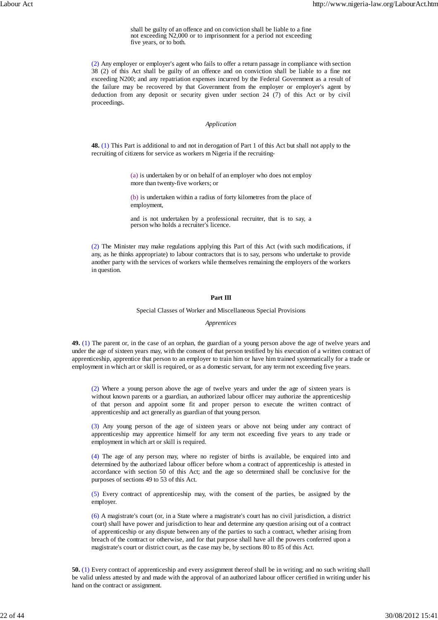shall be guilty of an offence and on conviction shall be liable to a fine not exceeding N2,000 or to imprisonment for a period not exceeding five years, or to both.

(2) Any employer or employer's agent who fails to offer a return passage in compliance with section 38 (2) of this Act shall be guilty of an offence and on conviction shall be liable to a fine not exceeding N200; and any repatriation expenses incurred by the Federal Government as a result of the failure may be recovered by that Government from the employer or employer's agent by deduction from any deposit or security given under section 24 (7) of this Act or by civil proceedings.

### *Application*

**48.** (1) This Part is additional to and not in derogation of Part 1 of this Act but shall not apply to the recruiting of citizens for service as workers m Nigeria if the recruiting-

> (a) is undertaken by or on behalf of an employer who does not employ more than twenty-five workers; or

> (b) is undertaken within a radius of forty kilometres from the place of employment,

> and is not undertaken by a professional recruiter, that is to say, a person who holds a recruiter's licence.

(2) The Minister may make regulations applying this Part of this Act (with such modifications, if any, as he thinks appropriate) to labour contractors that is to say, persons who undertake to provide another party with the services of workers while themselves remaining the employers of the workers in question.

# **Part III**

## Special Classes of Worker and Miscellaneous Special Provisions

#### *Apprentices*

**49.** (1) The parent or, in the case of an orphan, the guardian of a young person above the age of twelve years and under the age of sixteen years may, with the consent of that person testified by his execution of a written contract of apprenticeship, apprentice that person to an employer to train him or have him trained systematically for a trade or employment in which art or skill is required, or as a domestic servant, for any term not exceeding five years.

(2) Where a young person above the age of twelve years and under the age of sixteen years is without known parents or a guardian, an authorized labour officer may authorize the apprenticeship of that person and appoint some fit and proper person to execute the written contract of apprenticeship and act generally as guardian of that young person.

(3) Any young person of the age of sixteen years or above not being under any contract of apprenticeship may apprentice himself for any term not exceeding five years to any trade or employment in which art or skill is required.

(4) The age of any person may, where no register of births is available, be enquired into and determined by the authorized labour officer before whom a contract of apprenticeship is attested in accordance with section 50 of this Act; and the age so determined shall be conclusive for the purposes of sections 49 to 53 of this Act.

(5) Every contract of apprenticeship may, with the consent of the parties, be assigned by the employer.

(6) A magistrate's court (or, in a State where a magistrate's court has no civil jurisdiction, a district court) shall have power and jurisdiction to hear and determine any question arising out of a contract of apprenticeship or any dispute between any of the parties to such a contract, whether arising from breach of the contract or otherwise, and for that purpose shall have all the powers conferred upon a magistrate's court or district court, as the case may be, by sections 80 to 85 of this Act.

**50.** (1) Every contract of apprenticeship and every assignment thereof shall be in writing; and no such writing shall be valid unless attested by and made with the approval of an authorized labour officer certified in writing under his hand on the contract or assignment.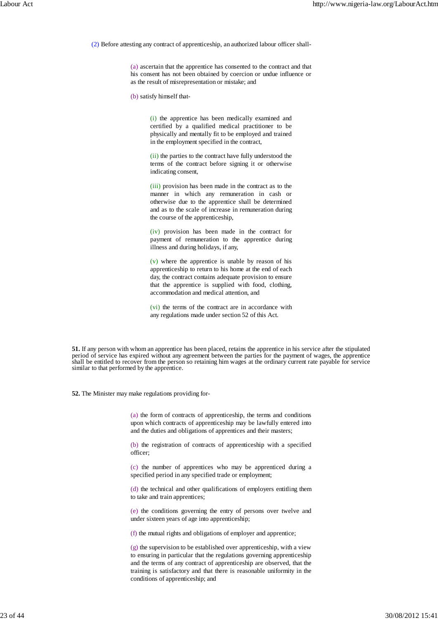(2) Before attesting any contract of apprenticeship, an authorized labour officer shall-

(a) ascertain that the apprentice has consented to the contract and that his consent has not been obtained by coercion or undue influence or as the result of misrepresentation or mistake; and

(b) satisfy himself that-

(i) the apprentice has been medically examined and certified by a qualified medical practitioner to be physically and mentally fit to be employed and trained in the employment specified in the contract,

(ii) the parties to the contract have fully understood the terms of the contract before signing it or otherwise indicating consent,

(iii) provision has been made in the contract as to the manner in which any remuneration in cash or otherwise due to the apprentice shall be determined and as to the scale of increase in remuneration during the course of the apprenticeship,

(iv) provision has been made in the contract for payment of remuneration to the apprentice during illness and during holidays, if any,

(v) where the apprentice is unable by reason of his apprenticeship to return to his home at the end of each day, the contract contains adequate provision to ensure that the apprentice is supplied with food, clothing, accommodation and medical attention, and

(vi) the terms of the contract are in accordance with any regulations made under section 52 of this Act.

**51.** If any person with whom an apprentice has been placed, retains the apprentice in his service after the stipulated period of service has expired without any agreement between the parties for the payment of wages, the apprentice shall be entitled to recover from the person so retaining him wages at the ordinary current rate payable for service similar to that performed by the apprentice.

**52.** The Minister may make regulations providing for-

(a) the form of contracts of apprenticeship, the terms and conditions upon which contracts of apprenticeship may be lawfully entered into and the duties and obligations of apprentices and their masters;

(b) the registration of contracts of apprenticeship with a specified officer;

(c) the number of apprentices who may be apprenticed during a specified period in any specified trade or employment;

(d) the technical and other qualifications of employers entitling them to take and train apprentices;

(e) the conditions governing the entry of persons over twelve and under sixteen years of age into apprenticeship;

(f) the mutual rights and obligations of employer and apprentice;

(g) the supervision to be established over apprenticeship, with a view to ensuring in particular that the regulations governing apprenticeship and the terms of any contract of apprenticeship are observed, that the training is satisfactory and that there is reasonable uniformity in the conditions of apprenticeship; and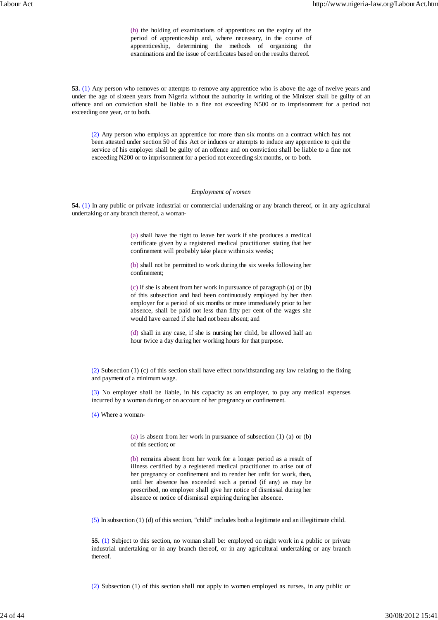(h) the holding of examinations of apprentices on the expiry of the period of apprenticeship and, where necessary, in the course of apprenticeship, determining the methods of organizing the examinations and the issue of certificates based on the results thereof.

**53.** (1) Any person who removes or attempts to remove any apprentice who is above the age of twelve years and under the age of sixteen years from Nigeria without the authority in writing of the Minister shall be guilty of an offence and on conviction shall be liable to a fine not exceeding N500 or to imprisonment for a period not exceeding one year, or to both.

(2) Any person who employs an apprentice for more than six months on a contract which has not been attested under section 50 of this Act or induces or attempts to induce any apprentice to quit the service of his employer shall be guilty of an offence and on conviction shall be liable to a fine not exceeding N200 or to imprisonment for a period not exceeding six months, or to both.

### *Employment of women*

**54.** (1) In any public or private industrial or commercial undertaking or any branch thereof, or in any agricultural undertaking or any branch thereof, a woman-

> (a) shall have the right to leave her work if she produces a medical certificate given by a registered medical practitioner stating that her confinement will probably take place within six weeks;

> (b) shall not be permitted to work during the six weeks following her confinement;

> (c) if she is absent from her work in pursuance of paragraph (a) or (b) of this subsection and had been continuously employed by her then employer for a period of six months or more immediately prior to her absence, shall be paid not less than fifty per cent of the wages she would have earned if she had not been absent; and

> (d) shall in any case, if she is nursing her child, be allowed half an hour twice a day during her working hours for that purpose.

(2) Subsection (1) (c) of this section shall have effect notwithstanding any law relating to the fixing and payment of a minimum wage.

(3) No employer shall be liable, in his capacity as an employer, to pay any medical expenses incurred by a woman during or on account of her pregnancy or confinement.

(4) Where a woman-

(a) is absent from her work in pursuance of subsection (1) (a) or (b) of this section; or

(b) remains absent from her work for a longer period as a result of illness certified by a registered medical practitioner to arise out of her pregnancy or confinement and to render her unfit for work, then, until her absence has exceeded such a period (if any) as may be prescribed, no employer shall give her notice of dismissal during her absence or notice of dismissal expiring during her absence.

(5) In subsection (1) (d) of this section, "child" includes both a legitimate and an illegitimate child.

**55.** (1) Subject to this section, no woman shall be: employed on night work in a public or private industrial undertaking or in any branch thereof, or in any agricultural undertaking or any branch thereof.

(2) Subsection (1) of this section shall not apply to women employed as nurses, in any public or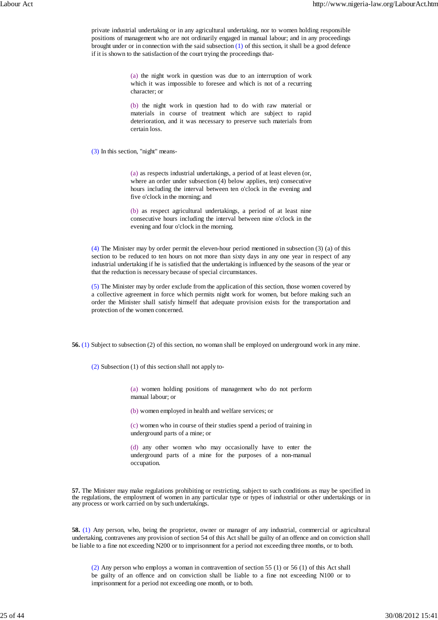private industrial undertaking or in any agricultural undertaking, nor to women holding responsible positions of management who are not ordinarily engaged in manual labour; and in any proceedings brought under or in connection with the said subsection  $(1)$  of this section, it shall be a good defence if it is shown to the satisfaction of the court trying the proceedings that-

> (a) the night work in question was due to an interruption of work which it was impossible to foresee and which is not of a recurring character; or

> (b) the night work in question had to do with raw material or materials in course of treatment which are subject to rapid deterioration, and it was necessary to preserve such materials from certain loss.

(3) In this section, "night" means-

(a) as respects industrial undertakings, a period of at least eleven (or, where an order under subsection (4) below applies, ten) consecutive hours including the interval between ten o'clock in the evening and five o'clock in the morning; and

(b) as respect agricultural undertakings, a period of at least nine consecutive hours including the interval between nine o'clock in the evening and four o'clock in the morning.

(4) The Minister may by order permit the eleven-hour period mentioned in subsection (3) (a) of this section to be reduced to ten hours on not more than sixty days in any one year in respect of any industrial undertaking if he is satisfied that the undertaking is influenced by the seasons of the year or that the reduction is necessary because of special circumstances.

(5) The Minister may by order exclude from the application of this section, those women covered by a collective agreement in force which permits night work for women, but before making such an order the Minister shall satisfy himself that adequate provision exists for the transportation and protection of the women concerned.

**56.** (1) Subject to subsection (2) of this section, no woman shall be employed on underground work in any mine.

(2) Subsection (1) of this section shall not apply to-

(a) women holding positions of management who do not perform manual labour; or

(b) women employed in health and welfare services; or

(c) women who in course of their studies spend a period of training in underground parts of a mine; or

(d) any other women who may occasionally have to enter the underground parts of a mine for the purposes of a non-manual occupation.

**57.** The Minister may make regulations prohibiting or restricting, subject to such conditions as may be specified in the regulations, the employment of women in any particular type or types of industrial or other undertakings or in any process or work carried on by such undertakings.

**58.** (1) Any person, who, being the proprietor, owner or manager of any industrial, commercial or agricultural undertaking, contravenes any provision of section 54 of this Act shall be guilty of an offence and on conviction shall be liable to a fine not exceeding N200 or to imprisonment for a period not exceeding three months, or to both.

(2) Any person who employs a woman in contravention of section 55 (1) or 56 (1) of this Act shall be guilty of an offence and on conviction shall be liable to a fine not exceeding N100 or to imprisonment for a period not exceeding one month, or to both.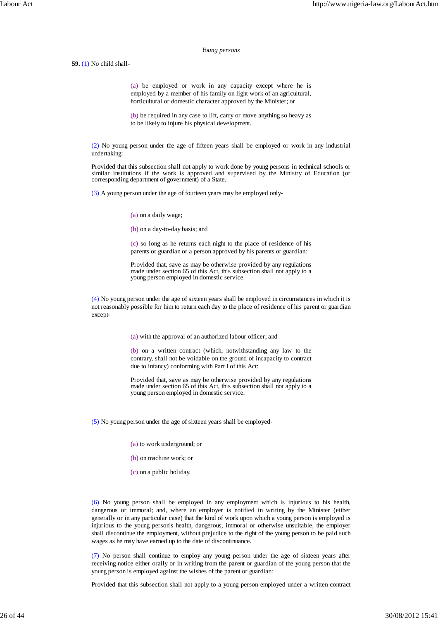#### *Young persons*

**59.** (1) No child shall-

(a) be employed or work in any capacity except where he is employed by a member of his family on light work of an agricultural, horticultural or domestic character approved by the Minister; or

(b) be required in any case to lift, carry or move anything so heavy as to be likely to injure his physical development.

(2) No young person under the age of fifteen years shall be employed or work in any industrial undertaking:

Provided that this subsection shall not apply to work done by young persons in technical schools or similar institutions if the work is approved and supervised by the Ministry of Education (or corresponding department of government) of a State.

(3) A young person under the age of fourteen years may be employed only-

(a) on a daily wage;

(b) on a day-to-day basis; and

(c) so long as he returns each night to the place of residence of his parents or guardian or a person approved by his parents or guardian:

Provided that, save as may be otherwise provided by any regulations made under section 65 of this Act, this subsection shall not apply to a young person employed in domestic service.

(4) No young person under the age of sixteen years shall be employed in circumstances in which it is not reasonably possible for him to return each day to the place of residence of his parent or guardian except-

(a) with the approval of an authorized labour officer; and

(b) on a written contract (which, notwithstanding any law to the contrary, shall not be voidable on the ground of incapacity to contract due to infancy) conforming with Part I of this Act:

Provided that, save as may be otherwise provided by any regulations made under section 65 of this Act, this subsection shall not apply to a young person employed in domestic service.

(5) No young person under the age of sixteen years shall be employed-

(a) to work underground; or

(b) on machine work; or

(c) on a public holiday.

(6) No young person shall be employed in any employment which is injurious to his health, dangerous or immoral; and, where an employer is notified in writing by the Minister (either generally or in any particular case) that the kind of work upon which a young person is employed is injurious to the young person's health, dangerous, immoral or otherwise unsuitable, the employer shall discontinue the employment, without prejudice to the right of the young person to be paid such wages as he may have earned up to the date of discontinuance.

(7) No person shall continue to employ any young person under the age of sixteen years after receiving notice either orally or in writing from the parent or guardian of the young person that the young person is employed against the wishes of the parent or guardian:

Provided that this subsection shall not apply to a young person employed under a written contract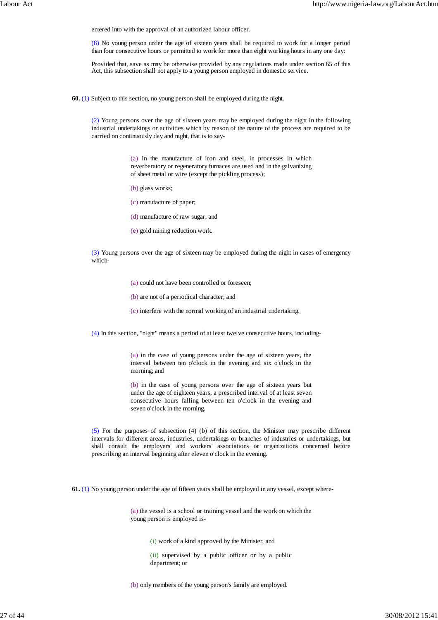entered into with the approval of an authorized labour officer.

(8) No young person under the age of sixteen years shall be required to work for a longer period than four consecutive hours or permitted to work for more than eight working hours in any one day:

Provided that, save as may be otherwise provided by any regulations made under section 65 of this Act, this subsection shall not apply to a young person employed in domestic service.

**60.** (1) Subject to this section, no young person shall be employed during the night.

(2) Young persons over the age of sixteen years may be employed during the night in the following industrial undertakings or activities which by reason of the nature of the process are required to be carried on continuously day and night, that is to say-

> (a) in the manufacture of iron and steel, in processes in which reverberatory or regeneratory furnaces are used and in the galvanizing of sheet metal or wire (except the pickling process);

- (b) glass works;
- (c) manufacture of paper;
- (d) manufacture of raw sugar; and
- (e) gold mining reduction work.

(3) Young persons over the age of sixteen may be employed during the night in cases of emergency which-

(a) could not have been controlled or foreseen;

- (b) are not of a periodical character; and
- (c) interfere with the normal working of an industrial undertaking.

(4) In this section, "night" means a period of at least twelve consecutive hours, including-

(a) in the case of young persons under the age of sixteen years, the interval between ten o'clock in the evening and six o'clock in the morning; and

(b) in the case of young persons over the age of sixteen years but under the age of eighteen years, a prescribed interval of at least seven consecutive hours falling between ten o'clock in the evening and seven o'clock in the morning.

(5) For the purposes of subsection (4) (b) of this section, the Minister may prescribe different intervals for different areas, industries, undertakings or branches of industries or undertakings, but shall consult the employers' and workers' associations or organizations concerned before prescribing an interval beginning after eleven o'clock in the evening.

**61.** (1) No young person under the age of fifteen years shall be employed in any vessel, except where-

(a) the vessel is a school or training vessel and the work on which the young person is employed is-

(i) work of a kind approved by the Minister, and

(ii) supervised by a public officer or by a public department; or

(b) only members of the young person's family are employed.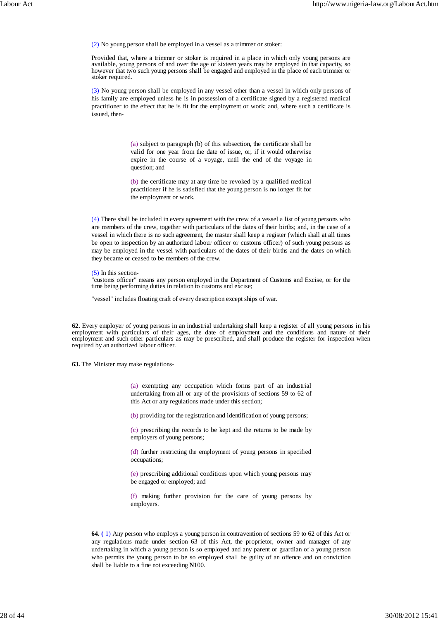(2) No young person shall be employed in a vessel as a trimmer or stoker:

Provided that, where a trimmer or stoker is required in a place in which only young persons are available, young persons of and over the age of sixteen years may be employed in that capacity, so however that two such young persons shall be engaged and employed in the place of each trimmer or stoker required.

(3) No young person shall be employed in any vessel other than a vessel in which only persons of his family are employed unless he is in possession of a certificate signed by a registered medical practitioner to the effect that he is fit for the employment or work; and, where such a certificate is issued, then-

> (a) subject to paragraph (b) of this subsection, the certificate shall be valid for one year from the date of issue, or, if it would otherwise expire in the course of a voyage, until the end of the voyage in question; and

> (b) the certificate may at any time be revoked by a qualified medical practitioner if he is satisfied that the young person is no longer fit for the employment or work.

(4) There shall be included in every agreement with the crew of a vessel a list of young persons who are members of the crew, together with particulars of the dates of their births; and, in the case of a vessel in which there is no such agreement, the master shall keep a register (which shall at all times be open to inspection by an authorized labour officer or customs officer) of such young persons as may be employed in the vessel with particulars of the dates of their births and the dates on which they became or ceased to be members of the crew.

(5) In this section-

"customs officer" means any person employed in the Department of Customs and Excise, or for the time being performing duties in relation to customs and excise;

"vessel" includes floating craft of every description except ships of war.

**62.** Every employer of young persons in an industrial undertaking shall keep a register of all young persons in his employment with particulars of their ages, the date of employment and the conditions and nature of their employment and such other particulars as may be prescribed, and shall produce the register for inspection when required by an authorized labour officer.

**63.** The Minister may make regulations-

(a) exempting any occupation which forms part of an industrial undertaking from all or any of the provisions of sections 59 to 62 of this Act or any regulations made under this section;

(b) providing for the registration and identification of young persons;

(c) prescribing the records to be kept and the returns to be made by employers of young persons;

(d) further restricting the employment of young persons in specified occupations;

(e) prescribing additional conditions upon which young persons may be engaged or employed; and

(f) making further provision for the care of young persons by employers.

**64. (** 1) Any person who employs a young person in contravention of sections 59 to 62 of this Act or any regulations made under section 63 of this Act, the proprietor, owner and manager of any undertaking in which a young person is so employed and any parent or guardian of a young person who permits the young person to be so employed shall be guilty of an offence and on conviction shall be liable to a fine not exceeding **N**100.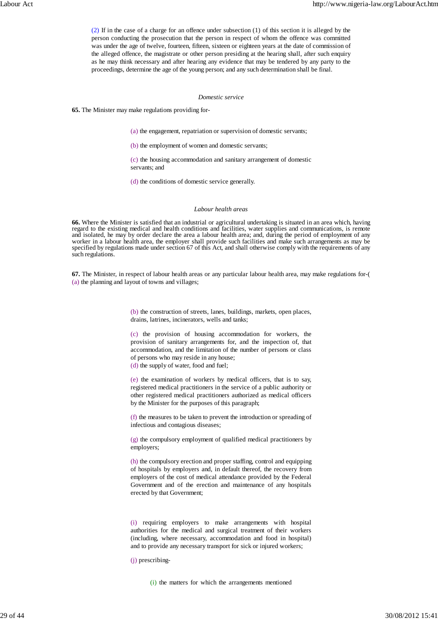(2) If in the case of a charge for an offence under subsection (1) of this section it is alleged by the person conducting the prosecution that the person in respect of whom the offence was committed was under the age of twelve, fourteen, fifteen, sixteen or eighteen years at the date of commission of the alleged offence, the magistrate or other person presiding at the hearing shall, after such enquiry as he may think necessary and after hearing any evidence that may be tendered by any party to the proceedings, determine the age of the young person; and any such determination shall be final.

## *Domestic service*

**65.** The Minister may make regulations providing for-

(a) the engagement, repatriation or supervision of domestic servants;

(b) the employment of women and domestic servants;

(c) the housing accommodation and sanitary arrangement of domestic servants; and

(d) the conditions of domestic service generally.

## *Labour health areas*

**66.** Where the Minister is satisfied that an industrial or agricultural undertaking is situated in an area which, having regard to the existing medical and health conditions and facilities, water supplies and communications, is remote and isolated, he may by order declare the area a labour health area; and, during the period of employment of any worker in a labour health area, the employer shall provide such facilities and make such arrangements as may be specified by regulations made under section 67 of this Act, and shall otherwise comply with the requirements of any such regulations.

**67.** The Minister, in respect of labour health areas or any particular labour health area, may make regulations for-( (a) the planning and layout of towns and villages;

> (b) the construction of streets, lanes, buildings, markets, open places, drains, latrines, incinerators, wells and tanks;

> (c) the provision of housing accommodation for workers, the provision of sanitary arrangements for, and the inspection of, that accommodation, and the limitation of the number of persons or class of persons who may reside in any house;

(d) the supply of water, food and fuel;

(e) the examination of workers by medical officers, that is to say, registered medical practitioners in the service of a public authority or other registered medical practitioners authorized as medical officers by the Minister for the purposes of this paragraph;

(f) the measures to be taken to prevent the introduction or spreading of infectious and contagious diseases;

(g) the compulsory employment of qualified medical practitioners by employers;

(h) the compulsory erection and proper staffing, control and equipping of hospitals by employers and, in default thereof, the recovery from employers of the cost of medical attendance provided by the Federal Government and of the erection and maintenance of any hospitals erected by that Government;

(i) requiring employers to make arrangements with hospital authorities for the medical and surgical treatment of their workers (including, where necessary, accommodation and food in hospital) and to provide any necessary transport for sick or injured workers;

(j) prescribing-

(i) the matters for which the arrangements mentioned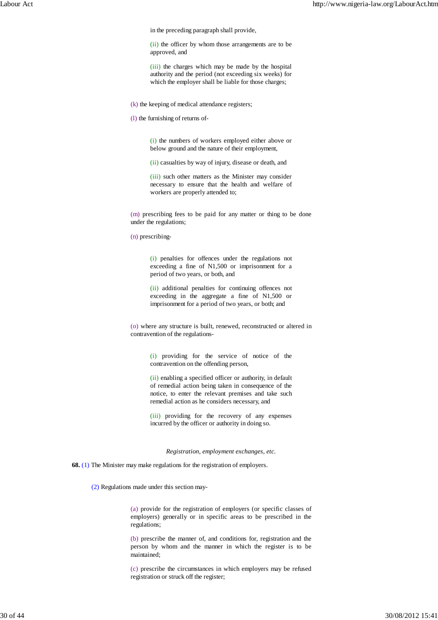in the preceding paragraph shall provide,

(ii) the officer by whom those arrangements are to be approved, and

(iii) the charges which may be made by the hospital authority and the period (not exceeding six weeks) for which the employer shall be liable for those charges;

(k) the keeping of medical attendance registers;

(l) the furnishing of returns of-

(i) the numbers of workers employed either above or below ground and the nature of their employment,

(ii) casualties by way of injury, disease or death, and

(iii) such other matters as the Minister may consider necessary to ensure that the health and welfare of workers are properly attended to;

(m) prescribing fees to be paid for any matter or thing to be done under the regulations;

(n) prescribing-

(i) penalties for offences under the regulations not exceeding a fine of N1,500 or imprisonment for a period of two years, or both, and

(ii) additional penalties for continuing offences not exceeding in the aggregate a fine of N1,500 or imprisonment for a period of two years, or both; and

(o) where any structure is built, renewed, reconstructed or altered in contravention of the regulations-

> (i) providing for the service of notice of the contravention on the offending person,

> (ii) enabling a specified officer or authority, in default of remedial action being taken in consequence of the notice, to enter the relevant premises and take such remedial action as he considers necessary, and

> (iii) providing for the recovery of any expenses incurred by the officer or authority in doing so.

> > *Registration, employment exchanges, etc.*

**68.** (1) The Minister may make regulations for the registration of employers.

(2) Regulations made under this section may-

(a) provide for the registration of employers (or specific classes of employers) generally or in specific areas to be prescribed in the regulations;

(b) prescribe the manner of, and conditions for, registration and the person by whom and the manner in which the register is to be maintained;

(c) prescribe the circumstances in which employers may be refused registration or struck off the register;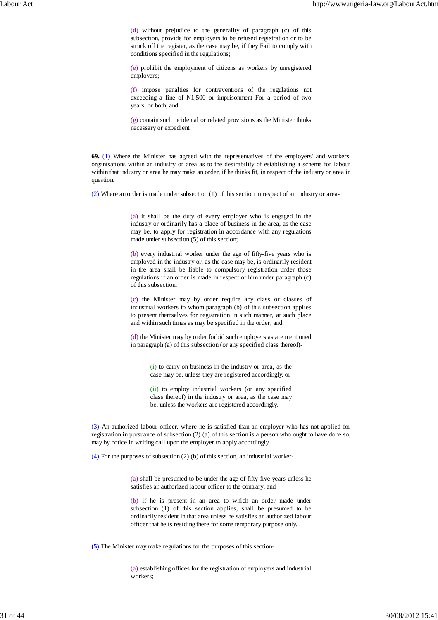(d) without prejudice to the generality of paragraph (c) of this subsection, provide for employers to be refused registration or to be struck off the register, as the case may be, if they Fail to comply with conditions specified in the regulations;

(e) prohibit the employment of citizens as workers by unregistered employers;

(f) impose penalties for contraventions of the regulations not exceeding a fine of N1,500 or imprisonment For a period of two years, or both; and

(g) contain such incidental or related provisions as the Minister thinks necessary or expedient.

**69.** (1) Where the Minister has agreed with the representatives of the employers' and workers' organisations within an industry or area as to the desirability of establishing a scheme for labour within that industry or area he may make an order, if he thinks fit, in respect of the industry or area in question.

(2) Where an order is made under subsection (1) of this section in respect of an industry or area-

(a) it shall be the duty of every employer who is engaged in the industry or ordinarily has a place of business in the area, as the case may be, to apply for registration in accordance with any regulations made under subsection (5) of this section;

(b) every industrial worker under the age of fifty-five years who is employed in the industry or, as the case may be, is ordinarily resident in the area shall be liable to compulsory registration under those regulations if an order is made in respect of him under paragraph (c) of this subsection;

(c) the Minister may by order require any class or classes of industrial workers to whom paragraph (b) of this subsection applies to present themselves for registration in such manner, at such place and within such times as may be specified in the order; and

(d) the Minister may by order forbid such employers as are mentioned in paragraph (a) of this subsection (or any specified class thereof)-

> (i) to carry on business in the industry or area, as the case may be, unless they are registered accordingly, or

> (ii) to employ industrial workers (or any specified class thereof) in the industry or area, as the case may be, unless the workers are registered accordingly.

(3) An authorized labour officer, where he is satisfied than an employer who has not applied for registration in pursuance of subsection (2) (a) of this section is a person who ought to have done so, may by notice in writing call upon the employer to apply accordingly.

(4) For the purposes of subsection (2) (b) of this section, an industrial worker-

(a) shall be presumed to be under the age of fifty-five years unless he satisfies an authorized labour officer to the contrary; and

(b) if he is present in an area to which an order made under subsection (1) of this section applies, shall be presumed to be ordinarily resident in that area unless he satisfies an authorized labour officer that he is residing there for some temporary purpose only.

**(5)** The Minister may make regulations for the purposes of this section-

(a) establishing offices for the registration of employers and industrial workers;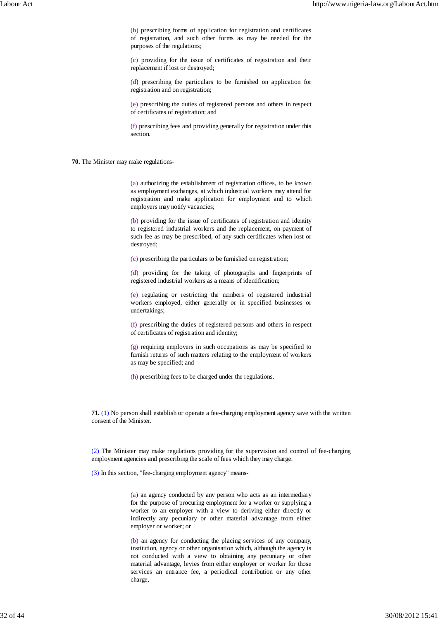(b) prescribing forms of application for registration and certificates of registration, and such other forms as may be needed for the purposes of the regulations;

(c) providing for the issue of certificates of registration and their replacement if lost or destroyed;

(d) prescribing the particulars to be furnished on application for registration and on registration;

(e) prescribing the duties of registered persons and others in respect of certificates of registration; and

(f) prescribing fees and providing generally for registration under this section.

**70.** The Minister may make regulations-

(a) authorizing the establishment of registration offices, to be known as employment exchanges, at which industrial workers may attend for registration and make application for employment and to which employers may notify vacancies;

(b) providing for the issue of certificates of registration and identity to registered industrial workers and the replacement, on payment of such fee as may be prescribed, of any such certificates when lost or destroyed;

(c) prescribing the particulars to be furnished on registration;

(d) providing for the taking of photographs and fingerprints of registered industrial workers as a means of identification;

(e) regulating or restricting the numbers of registered industrial workers employed, either generally or in specified businesses or undertakings;

(f) prescribing the duties of registered persons and others in respect of certificates of registration and identity;

(g) requiring employers in such occupations as may be specified to furnish returns of such matters relating to the employment of workers as may be specified; and

(h) prescribing fees to be charged under the regulations.

**71.** (1) No person shall establish or operate a fee-charging employment agency save with the written consent of the Minister.

(2) The Minister may make regulations providing for the supervision and control of fee-charging employment agencies and prescribing the scale of fees which they may charge.

(3) In this section, "fee-charging employment agency" means-

(a) an agency conducted by any person who acts as an intermediary for the purpose of procuring employment for a worker or supplying a worker to an employer with a view to deriving either directly or indirectly any pecuniary or other material advantage from either employer or worker; or

(b) an agency for conducting the placing services of any company, institution, agency or other organisation which, although the agency is not conducted with a view to obtaining any pecuniary or other material advantage, levies from either employer or worker for those services an entrance fee, a periodical contribution or any other charge,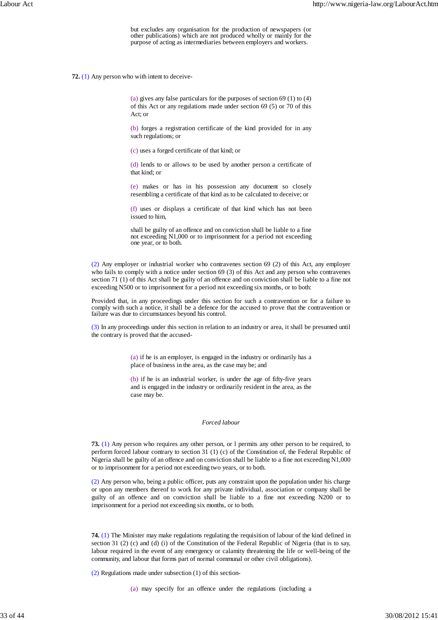but excludes any organisation for the production of newspapers (or other publications) which are not produced wholly or mainly for the purpose of acting as intermediaries between employers and workers.

**72.** (1) Any person who with intent to deceive-

(a) gives any false particulars for the purposes of section 69 (1) to (4) of this Act or any regulations made under section 69 (5) or 70 of this Act; or

(b) forges a registration certificate of the kind provided for in any such regulations; or

(c) uses a forged certificate of that kind; or

(d) lends to or allows to be used by another person a certificate of that kind; or

(e) makes or has in his possession any document so closely resembling a certificate of that kind as to be calculated to deceive; or

(f) uses or displays a certificate of that kind which has not been issued to him,

shall be guilty of an offence and on conviction shall be liable to a fine not exceeding N1,000 or to imprisonment for a period not exceeding one year, or to both.

(2) Any employer or industrial worker who contravenes section 69 (2) of this Act, any employer who fails to comply with a notice under section 69 (3) of this Act and any person who contravenes section 71 (1) of this Act shall be guilty of an offence and on conviction shall be liable to a fine not exceeding N500 or to imprisonment for a period not exceeding six months, or to both:

Provided that, in any proceedings under this section for such a contravention or for a failure to comply with such a notice, it shall be a defence for the accused to prove that the contravention or failure was due to circumstances beyond his control.

(3) In any proceedings under this section in relation to an industry or area, it shall be presumed until the contrary is proved that the accused-

> (a) if he is an employer, is engaged in the industry or ordinarily has a place of business in the area, as the case may be; and

> (b) if he is an industrial worker, is under the age of fifty-five years and is engaged in the industry or ordinarily resident in the area, as the case may be.

# *Forced labour*

**73.** (1) Any person who requires any other person, or l permits any other person to be required, to perform forced labour contrary to section 31 (1) (c) of the Constitution of, the Federal Republic of Nigeria shall be guilty of an offence and on conviction shall be liable to a fine not exceeding N1,000 or to imprisonment for a period not exceeding two years, or to both.

(2) Any person who, being a public officer, puts any constraint upon the population under his charge or upon any members thereof to work for any private individual, association or company shall be guilty of an offence and on conviction shall be liable to a fine not exceeding N200 or to imprisonment for a period not exceeding six months, or to both.

**74.** (1) The Minister may make regulations regulating the requisition of labour of the kind defined in section 31 (2) (c) and (d) (i) of the Constitution of the Federal Republic of Nigeria (that is to say, labour required in the event of any emergency or calamity threatening the life or well-being of the community, and labour that forms part of normal communal or other civil obligations).

(2) Regulations made under subsection (1) of this section-

(a) may specify for an offence under the regulations (including a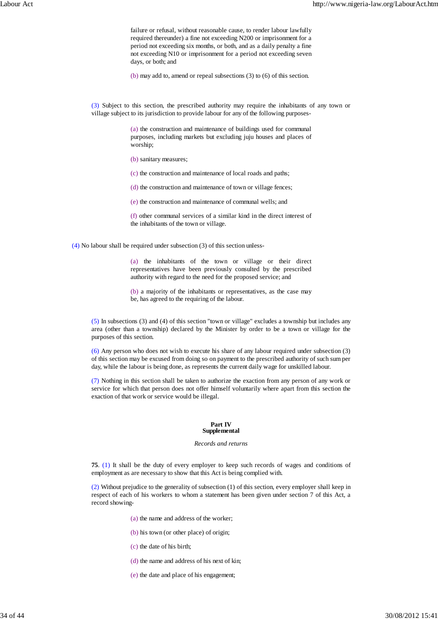failure or refusal, without reasonable cause, to render labour lawfully required thereunder) a fine not exceeding N200 or imprisonment for a period not exceeding six months, or both, and as a daily penalty a fine not exceeding N10 or imprisonment for a period not exceeding seven days, or both; and

(b) may add to, amend or repeal subsections (3) to (6) of this section.

(3) Subject to this section, the prescribed authority may require the inhabitants of any town or village subject to its jurisdiction to provide labour for any of the following purposes-

> (a) the construction and maintenance of buildings used for communal purposes, including markets but excluding juju houses and places of worship;

(b) sanitary measures;

(c) the construction and maintenance of local roads and paths;

(d) the construction and maintenance of town or village fences;

(e) the construction and maintenance of communal wells; and

(f) other communal services of a similar kind in the direct interest of the inhabitants of the town or village.

(4) No labour shall be required under subsection (3) of this section unless-

(a) the inhabitants of the town or village or their direct representatives have been previously consulted by the prescribed authority with regard to the need for the proposed service; and

(b) a majority of the inhabitants or representatives, as the case may be, has agreed to the requiring of the labour.

(5) In subsections (3) and (4) of this section "town or village" excludes a township but includes any area (other than a township) declared by the Minister by order to be a town or village for the purposes of this section.

(6) Any person who does not wish to execute his share of any labour required under subsection (3) of this section may be excused from doing so on payment to the prescribed authority of such sum per day, while the labour is being done, as represents the current daily wage for unskilled labour.

(7) Nothing in this section shall be taken to authorize the exaction from any person of any work or service for which that person does not offer himself voluntarily where apart from this section the exaction of that work or service would be illegal.

### **Part IV Supplemental**

#### *Records and returns*

**75**. (1) It shall be the duty of every employer to keep such records of wages and conditions of employment as are necessary to show that this Act is being complied with.

(2) Without prejudice to the generality of subsection (1) of this section, every employer shall keep in respect of each of his workers to whom a statement has been given under section 7 of this Act, a record showing-

- (a) the name and address of the worker;
- (b) his town (or other place) of origin;
- (c) the date of his birth;
- (d) the name and address of his next of kin;
- (e) the date and place of his engagement;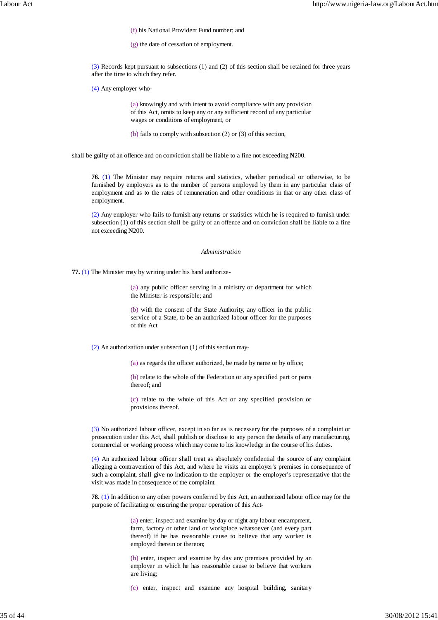(f) his National Provident Fund number; and

(g) the date of cessation of employment.

(3) Records kept pursuant to subsections (1) and (2) of this section shall be retained for three years after the time to which they refer.

(4) Any employer who-

(a) knowingly and with intent to avoid compliance with any provision of this Act, omits to keep any or any sufficient record of any particular wages or conditions of employment, or

(b) fails to comply with subsection (2) or (3) of this section,

shall be guilty of an offence and on conviction shall be liable to a fine not exceeding **N**200.

**76.** (1) The Minister may require returns and statistics, whether periodical or otherwise, to be furnished by employers as to the number of persons employed by them in any particular class of employment and as to the rates of remuneration and other conditions in that or any other class of employment.

(2) Any employer who fails to furnish any returns or statistics which he is required to furnish under subsection (1) of this section shall be guilty of an offence and on conviction shall be liable to a fine not exceeding **N**200.

#### *Administration*

**77.** (1) The Minister may by writing under his hand authorize-

(a) any public officer serving in a ministry or department for which the Minister is responsible; and

(b) with the consent of the State Authority, any officer in the public service of a State, to be an authorized labour officer for the purposes of this Act

(2) An authorization under subsection (1) of this section may-

(a) as regards the officer authorized, be made by name or by office;

(b) relate to the whole of the Federation or any specified part or parts thereof; and

(c) relate to the whole of this Act or any specified provision or provisions thereof.

(3) No authorized labour officer, except in so far as is necessary for the purposes of a complaint or prosecution under this Act, shall publish or disclose to any person the details of any manufacturing, commercial or working process which may come to his knowledge in the course of his duties.

(4) An authorized labour officer shall treat as absolutely confidential the source of any complaint alleging a contravention of this Act, and where he visits an employer's premises in consequence of such a complaint, shall give no indication to the employer or the employer's representative that the visit was made in consequence of the complaint.

**78.** (1) In addition to any other powers conferred by this Act, an authorized labour office may for the purpose of facilitating or ensuring the proper operation of this Act-

> (a) enter, inspect and examine by day or night any labour encampment, farm, factory or other land or workplace whatsoever (and every part thereof) if he has reasonable cause to believe that any worker is employed therein or thereon;

> (b) enter, inspect and examine by day any premises provided by an employer in which he has reasonable cause to believe that workers are living;

> (c) enter, inspect and examine any hospital building, sanitary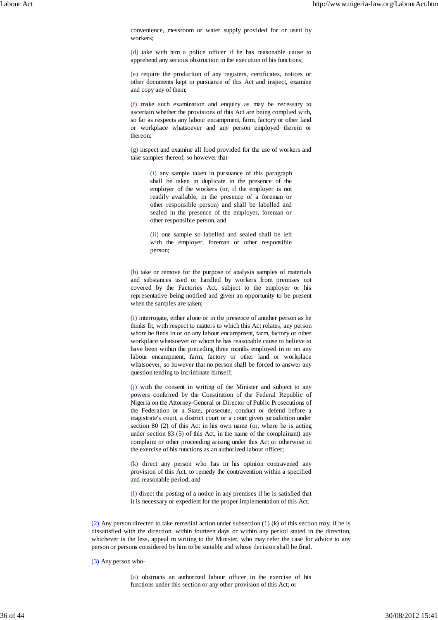convenience, messroom or water supply provided for or used by workers;

(d) take with him a police officer if he has reasonable cause to apprehend any serious obstruction in the execution of his functions;

(e) require the production of any registers, certificates, notices or other documents kept in pursuance of this Act and inspect, examine and copy any of them;

(f) make such examination and enquiry as may be necessary to ascertain whether the provisions of this Act are being complied with, so far as respects any labour encampment, farm, factory or other land or workplace whatsoever and any person employed therein or thereon;

(g) inspect and examine all food provided for the use of workers and take samples thereof, so however that-

> (i) any sample taken in pursuance of this paragraph shall be taken in duplicate in the presence of the employer of the workers (or, if the employer is not readily available, in the presence of a foreman or other responsible person) and shall be labelled and sealed in the presence of the employer, foreman or other responsible person, and

> (ii) one sample so labelled and sealed shall be left with the employer, foreman or other responsible person;

(h) take or remove for the purpose of analysis samples of materials and substances used or handled by workers from premises not covered by the Factories Act, subject to the employer or his representative being notified and given an opportunity to be present when the samples are taken;

(i) interrogate, either alone or in the presence of another person as he thinks fit, with respect to matters to which this Act relates, any person whom he finds in or on any labour encampment, farm, factory or other workplace whatsoever or whom he has reasonable cause to believe to have been within the preceding three months employed in or on any labour encampment, farm, factory or other land or workplace whatsoever, so however that no person shall be forced to answer any question tending to incriminate himself;

(j) with the consent in writing of the Minister and subject to any powers conferred by the Constitution of the Federal Republic of Nigeria on the Attorney-General or Director of Public Prosecutions of the Federation or a State, prosecute, conduct or defend before a magistrate's court, a district court or a court given jurisdiction under section 80 (2) of this Act in his own name (or, where he is acting under section 83 (5) of this Act, in the name of the complainant) any complaint or other proceeding arising under this Act or otherwise in the exercise of his functions as an authorized labour officer;

(k) direct any person who has in his opinion contravened any provision of this Act, to remedy the contravention within a specified and reasonable period; and

(l) direct the posting of a notice in any premises if he is satisfied that it is necessary or expedient for the proper implementation of this Act.

(2) Any person directed to take remedial action under subsection (1) (k) of this section may, if he is dissatisfied with the direction, within fourteen days or within any period stated in the direction, whichever is the less, appeal m writing to the Minister, who may refer the case for advice to any person or persons considered by him to be suitable and whose decision shall be final.

(3) Any person who-

(a) obstructs an authorized labour officer in the exercise of his functions under this section or any other provision of this Act; or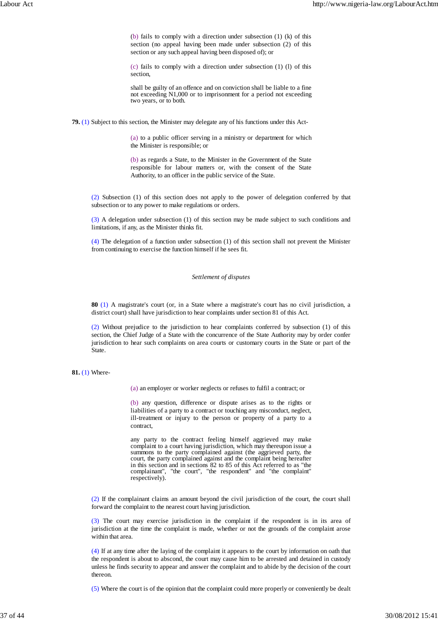(b) fails to comply with a direction under subsection (1) (k) of this section (no appeal having been made under subsection (2) of this section or any such appeal having been disposed of); or

(c) fails to comply with a direction under subsection (1) (l) of this section,

shall be guilty of an offence and on conviction shall be liable to a fine not exceeding N1,000 or to imprisonment for a period not exceeding two years, or to both.

**79.** (1) Subject to this section, the Minister may delegate any of his functions under this Act-

(a) to a public officer serving in a ministry or department for which the Minister is responsible; or

(b) as regards a State, to the Minister in the Government of the State responsible for labour matters or, with the consent of the State Authority, to an officer in the public service of the State.

(2) Subsection (1) of this section does not apply to the power of delegation conferred by that subsection or to any power to make regulations or orders.

(3) A delegation under subsection (1) of this section may be made subject to such conditions and limitations, if any, as the Minister thinks fit.

(4) The delegation of a function under subsection (1) of this section shall not prevent the Minister from continuing to exercise the function himself if he sees fit.

# *Settlement of disputes*

**80** (1) A magistrate's court (or, in a State where a magistrate's court has no civil jurisdiction, a district court) shall have jurisdiction to hear complaints under section 81 of this Act.

(2) Without prejudice to the jurisdiction to hear complaints conferred by subsection (1) of this section, the Chief Judge of a State with the concurrence of the State Authority may by order confer jurisdiction to hear such complaints on area courts or customary courts in the State or part of the State.

## **81.** (1) Where-

(a) an employer or worker neglects or refuses to fulfil a contract; or

(b) any question, difference or dispute arises as to the rights or liabilities of a party to a contract or touching any misconduct, neglect, ill-treatment or injury to the person or property of a party to a contract,

any party to the contract feeling himself aggrieved may make complaint to a court having jurisdiction, which may thereupon issue a summons to the party complained against (the aggrieved party, the court, the party complained against and the complaint being hereafter in this section and in sections 82 to 85 of this Act referred to as "the complainant", "the court", "the respondent" and "the complaint" respectively).

(2) If the complainant claims an amount beyond the civil jurisdiction of the court, the court shall forward the complaint to the nearest court having jurisdiction.

(3) The court may exercise jurisdiction in the complaint if the respondent is in its area of jurisdiction at the time the complaint is made, whether or not the grounds of the complaint arose within that area.

(4) If at any time after the laying of the complaint it appears to the court by information on oath that the respondent is about to abscond, the court may cause him to be arrested and detained in custody unless he finds security to appear and answer the complaint and to abide by the decision of the court thereon.

(5) Where the court is of the opinion that the complaint could more properly or conveniently be dealt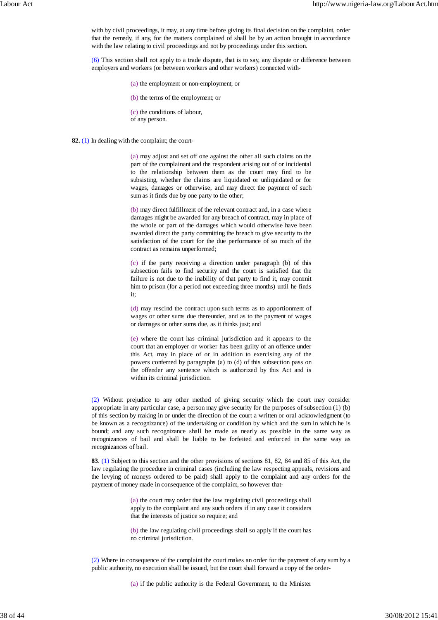with by civil proceedings, it may, at any time before giving its final decision on the complaint, order that the remedy, if any, for the matters complained of shall be by an action brought in accordance with the law relating to civil proceedings and not by proceedings under this section.

(6) This section shall not apply to a trade dispute, that is to say, any dispute or difference between employers and workers (or between workers and other workers) connected with-

(a) the employment or non-employment; or

(b) the terms of the employment; or

(c) the conditions of labour, of any person.

**82.** (1) In dealing with the complaint; the court-

(a) may adjust and set off one against the other all such claims on the part of the complainant and the respondent arising out of or incidental to the relationship between them as the court may find to be subsisting, whether the claims are liquidated or unliquidated or for wages, damages or otherwise, and may direct the payment of such sum as it finds due by one party to the other;

(b) may direct fulfillment of the relevant contract and, in a case where damages might be awarded for any breach of contract, may in place of the whole or part of the damages which would otherwise have been awarded direct the party committing the breach to give security to the satisfaction of the court for the due performance of so much of the contract as remains unperformed;

(c) if the party receiving a direction under paragraph (b) of this subsection fails to find security and the court is satisfied that the failure is not due to the inability of that party to find it, may commit him to prison (for a period not exceeding three months) until he finds it;

(d) may rescind the contract upon such terms as to apportionment of wages or other sums due thereunder, and as to the payment of wages or damages or other sums due, as it thinks just; and

(e) where the court has criminal jurisdiction and it appears to the court that an employer or worker has been guilty of an offence under this Act, may in place of or in addition to exercising any of the powers conferred by paragraphs (a) to (d) of this subsection pass on the offender any sentence which is authorized by this Act and is within its criminal jurisdiction.

(2) Without prejudice to any other method of giving security which the court may consider appropriate in any particular case, a person may give security for the purposes of subsection (1) (b) of this section by making in or under the direction of the court a written or oral acknowledgment (to be known as a recognizance) of the undertaking or condition by which and the sum in which he is bound; and any such recognizance shall be made as nearly as possible in the same way as recognizances of bail and shall be liable to be forfeited and enforced in the same way as recognizances of bail.

**83**. (1) Subject to this section and the other provisions of sections 81, 82, 84 and 85 of this Act, the law regulating the procedure in criminal cases (including the law respecting appeals, revisions and the levying of moneys ordered to be paid) shall apply to the complaint and any orders for the payment of money made in consequence of the complaint, so however that-

> (a) the court may order that the law regulating civil proceedings shall apply to the complaint and any such orders if in any case it considers that the interests of justice so require; and

> (b) the law regulating civil proceedings shall so apply if the court has no criminal jurisdiction.

(2) Where in consequence of the complaint the court makes an order for the payment of any sum by a public authority, no execution shall be issued, but the court shall forward a copy of the order-

(a) if the public authority is the Federal Government, to the Minister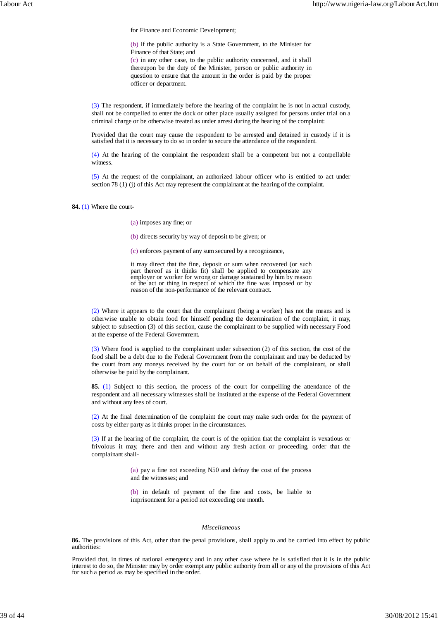for Finance and Economic Development;

(b) if the public authority is a State Government, to the Minister for Finance of that State; and

(c) in any other case, to the public authority concerned, and it shall thereupon be the duty of the Minister, person or public authority in question to ensure that the amount in the order is paid by the proper officer or department.

(3) The respondent, if immediately before the hearing of the complaint he is not in actual custody, shall not be compelled to enter the dock or other place usually assigned for persons under trial on a criminal charge or be otherwise treated as under arrest during the hearing of the complaint:

Provided that the court may cause the respondent to be arrested and detained in custody if it is satisfied that it is necessary to do so in order to secure the attendance of the respondent.

(4) At the hearing of the complaint the respondent shall be a competent but not a compellable witness.

(5) At the request of the complainant, an authorized labour officer who is entitled to act under section 78 (1) (j) of this Act may represent the complainant at the hearing of the complaint.

**84.** (1) Where the court-

(a) imposes any fine; or

(b) directs security by way of deposit to be given; or

(c) enforces payment of any sum secured by a recognizance,

it may direct that the fine, deposit or sum when recovered (or such part thereof as it thinks fit) shall be applied to compensate any employer or worker for wrong or damage sustained by him by reason of the act or thing in respect of which the fine was imposed or by reason of the non-performance of the relevant contract.

(2) Where it appears to the court that the complainant (being a worker) has not the means and is otherwise unable to obtain food for himself pending the determination of the complaint, it may, subject to subsection (3) of this section, cause the complainant to be supplied with necessary Food at the expense of the Federal Government.

(3) Where food is supplied to the complainant under subsection (2) of this section, the cost of the food shall be a debt due to the Federal Government from the complainant and may be deducted by the court from any moneys received by the court for or on behalf of the complainant, or shall otherwise be paid by the complainant.

**85.** (1) Subject to this section, the process of the court for compelling the attendance of the respondent and all necessary witnesses shall be instituted at the expense of the Federal Government and without any fees of court.

(2) At the final determination of the complaint the court may make such order for the payment of costs by either party as it thinks proper in the circumstances.

(3) If at the hearing of the complaint, the court is of the opinion that the complaint is vexatious or frivolous it may, there and then and without any fresh action or proceeding, order that the complainant shall-

> (a) pay a fine not exceeding N50 and defray the cost of the process and the witnesses; and

> (b) in default of payment of the fine and costs, be liable to imprisonment for a period not exceeding one month.

## *Miscellaneous*

**86.** The provisions of this Act, other than the penal provisions, shall apply to and be carried into effect by public authorities:

Provided that, in times of national emergency and in any other case where he is satisfied that it is in the public interest to do so, the Minister may by order exempt any public authority from all or any of the provisions of this Act for such a period as may be specified in the order.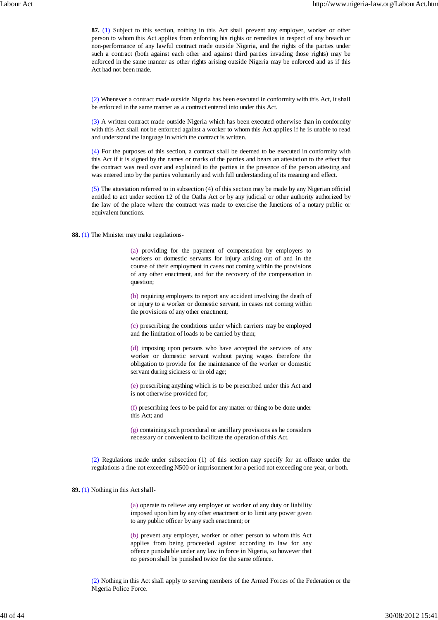**87.** (1) Subject to this section, nothing in this Act shall prevent any employer, worker or other person to whom this Act applies from enforcing his rights or remedies in respect of any breach or non-performance of any lawful contract made outside Nigeria, and the rights of the parties under such a contract (both against each other and against third parties invading those rights) may be enforced in the same manner as other rights arising outside Nigeria may be enforced and as if this Act had not been made.

(2) Whenever a contract made outside Nigeria has been executed in conformity with this Act, it shall be enforced in the same manner as a contract entered into under this Act.

(3) A written contract made outside Nigeria which has been executed otherwise than in conformity with this Act shall not be enforced against a worker to whom this Act applies if he is unable to read and understand the language in which the contract is written.

(4) For the purposes of this section, a contract shall be deemed to be executed in conformity with this Act if it is signed by the names or marks of the parties and bears an attestation to the effect that the contract was read over and explained to the parties in the presence of the person attesting and was entered into by the parties voluntarily and with full understanding of its meaning and effect.

(5) The attestation referred to in subsection (4) of this section may be made by any Nigerian official entitled to act under section 12 of the Oaths Act or by any judicial or other authority authorized by the law of the place where the contract was made to exercise the functions of a notary public or equivalent functions.

**88.** (1) The Minister may make regulations-

(a) providing for the payment of compensation by employers to workers or domestic servants for injury arising out of and in the course of their employment in cases not coming within the provisions of any other enactment, and for the recovery of the compensation in question;

(b) requiring employers to report any accident involving the death of or injury to a worker or domestic servant, in cases not coming within the provisions of any other enactment;

(c) prescribing the conditions under which carriers may be employed and the limitation of loads to be carried by them;

(d) imposing upon persons who have accepted the services of any worker or domestic servant without paying wages therefore the obligation to provide for the maintenance of the worker or domestic servant during sickness or in old age;

(e) prescribing anything which is to be prescribed under this Act and is not otherwise provided for;

(f) prescribing fees to be paid for any matter or thing to be done under this Act; and

(g) containing such procedural or ancillary provisions as he considers necessary or convenient to facilitate the operation of this Act.

(2) Regulations made under subsection (1) of this section may specify for an offence under the regulations a fine not exceeding N500 or imprisonment for a period not exceeding one year, or both.

**89.** (1) Nothing in this Act shall-

(a) operate to relieve any employer or worker of any duty or liability imposed upon him by any other enactment or to limit any power given to any public officer by any such enactment; or

(b) prevent any employer, worker or other person to whom this Act applies from being proceeded against according to law for any offence punishable under any law in force in Nigeria, so however that no person shall be punished twice for the same offence.

(2) Nothing in this Act shall apply to serving members of the Armed Forces of the Federation or the Nigeria Police Force.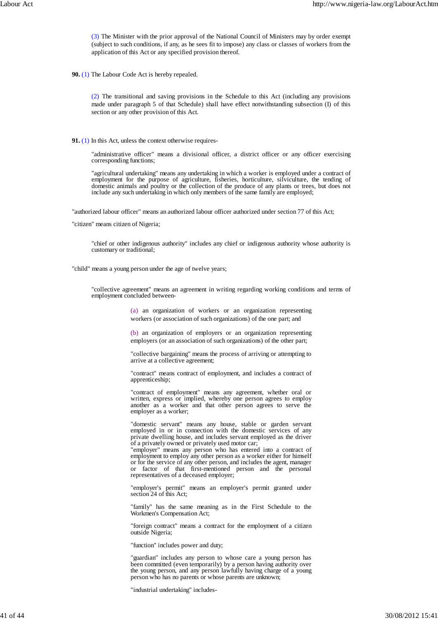(3) The Minister with the prior approval of the National Council of Ministers may by order exempt (subject to such conditions, if any, as he sees fit to impose) any class or classes of workers from the application of this Act or any specified provision thereof.

**90.** (1) The Labour Code Act is hereby repealed.

(2) The transitional and saving provisions in the Schedule to this Act (including any provisions made under paragraph 5 of that Schedule) shall have effect notwithstanding subsection (I) of this section or any other provision of this Act.

**91.** (1) In this Act, unless the context otherwise requires-

"administrative officer" means a divisional officer, a district officer or any officer exercising corresponding functions;

"agricultural undertaking" means any undertaking in which a worker is employed under a contract of employment for the purpose of agriculture, fisheries, horticulture, silviculture, the tending of domestic animals and poultry or the collection of the produce of any plants or trees, but does not include any such undertaking in which only members of the same family are employed;

"authorized labour officer" means an authorized labour officer authorized under section 77 of this Act;

"citizen" means citizen of Nigeria;

"chief or other indigenous authority" includes any chief or indigenous authority whose authority is customary or traditional;

"child" means a young person under the age of twelve years;

"collective agreement" means an agreement in writing regarding working conditions and terms of employment concluded between-

> (a) an organization of workers or an organization representing workers (or association of such organizations) of the one part; and

> (b) an organization of employers or an organization representing employers (or an association of such organizations) of the other part;

> "collective bargaining" means the process of arriving or attempting to arrive at a collective agreement;

> "contract" means contract of employment, and includes a contract of apprenticeship;

> "contract of employment" means any agreement, whether oral or written, express or implied, whereby one person agrees to employ another as a worker and that other person agrees to serve the employer as a worker;

> "domestic servant" means any house, stable or garden servant employed in or in connection with the domestic services of any private dwelling house, and includes servant employed as the driver of a privately owned or privately used motor car;

> "employer" means any person who has entered into a contract of employment to employ any other person as a worker either for himself or for the service of any other person, and includes the agent, manager or factor of that first-mentioned person and the personal representatives of a deceased employer;

> "employer's permit" means an employer's permit granted under section 24 of this Act;

> "family" has the same meaning as in the First Schedule to the Workmen's Compensation Act;

> "foreign contract" means a contract for the employment of a citizen outside Nigeria;

"function" includes power and duty;

"guardian" includes any person to whose care a young person has been committed (even temporarily) by a person having authority over the young person, and any person lawfully having charge of a young person who has no parents or whose parents are unknown;

"industrial undertaking" includes-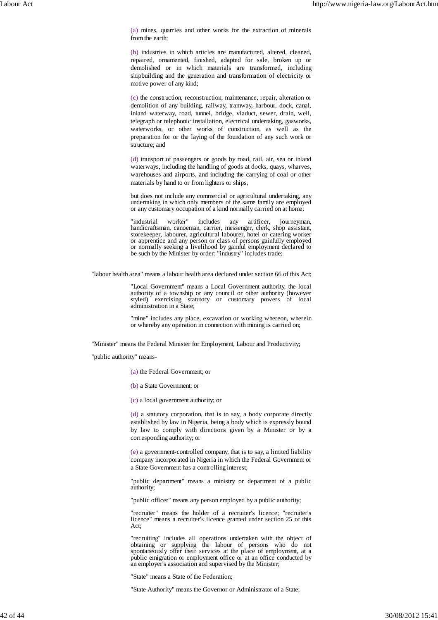(a) mines, quarries and other works for the extraction of minerals from the earth;

(b) industries in which articles are manufactured, altered, cleaned, repaired, ornamented, finished, adapted for sale, broken up or demolished or in which materials are transformed, including shipbuilding and the generation and transformation of electricity or motive power of any kind;

(c) the construction, reconstruction, maintenance, repair, alteration or demolition of any building, railway, tramway, harbour, dock, canal, inland waterway, road, tunnel, bridge, viaduct, sewer, drain, well, telegraph or telephonic installation, electrical undertaking, gasworks, waterworks, or other works of construction, as well as the preparation for or the laying of the foundation of any such work or structure; and

(d) transport of passengers or goods by road, rail, air, sea or inland waterways, including the handling of goods at docks, quays, wharves, warehouses and airports, and including the carrying of coal or other materials by hand to or from lighters or ships,

but does not include any commercial or agricultural undertaking, any undertaking in which only members of the same family are employed or any customary occupation of a kind normally carried on at home;

"industrial worker" includes any artificer, journeyman, handicraftsman, canoeman, carrier, messenger, clerk, shop assistant, storekeeper, labourer, agricultural labourer, hotel or catering worker or apprentice and any person or class of persons gainfully employed or normally seeking a livelihood by gainful employment declared to be such by the Minister by order; "industry" includes trade;

"labour health area" means a labour health area declared under section 66 of this Act;

"Local Government" means a Local Government authority, the local authority of a township or any council or other authority (however styled) exercising statutory or customary powers of local administration in a State;

"mine" includes any place, excavation or working whereon, wherein or whereby any operation in connection with mining is carried on;

"Minister" means the Federal Minister for Employment, Labour and Productivity;

"public authority" means-

(a) the Federal Government; or

(b) a State Government; or

(c) a local government authority; or

(d) a statutory corporation, that is to say, a body corporate directly established by law in Nigeria, being a body which is expressly bound by law to comply with directions given by a Minister or by a corresponding authority; or

(e) a government-controlled company, that is to say, a limited liability company incorporated in Nigeria in which the Federal Government or a State Government has a controlling interest;

"public department" means a ministry or department of a public authority;

"public officer" means any person employed by a public authority;

"recruiter" means the holder of a recruiter's licence; "recruiter's licence" means a recruiter's licence granted under section 25 of this Act;

"recruiting" includes all operations undertaken with the object of obtaining or supplying the labour of persons who do not spontaneously offer their services at the place of employment, at a public emigration or employment office or at an office conducted by an employer's association and supervised by the Minister;

"State" means a State of the Federation;

"State Authority" means the Governor or Administrator of a State;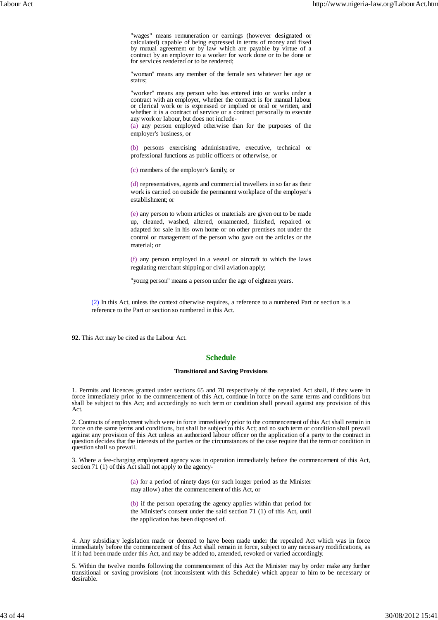"wages" means remuneration or earnings (however designated or calculated) capable of being expressed in terms of money and fixed by mutual agreement or by law which are payable by virtue of a contract by an employer to a worker for work done or to be done or for services rendered or to be rendered;

"woman" means any member of the female sex whatever her age or status;

"worker" means any person who has entered into or works under a contract with an employer, whether the contract is for manual labour or clerical work or is expressed or implied or oral or written, and whether it is a contract of service or a contract personally to execute any work or labour, but does not include-

(a) any person employed otherwise than for the purposes of the employer's business, or

(b) persons exercising administrative, executive, technical or professional functions as public officers or otherwise, or

(c) members of the employer's family, or

(d) representatives, agents and commercial travellers in so far as their work is carried on outside the permanent workplace of the employer's establishment; or

(e) any person to whom articles or materials are given out to be made up, cleaned, washed, altered, ornamented, finished, repaired or adapted for sale in his own home or on other premises not under the control or management of the person who gave out the articles or the material; or

(f) any person employed in a vessel or aircraft to which the laws regulating merchant shipping or civil aviation apply;

"young person" means a person under the age of eighteen years.

(2) In this Act, unless the context otherwise requires, a reference to a numbered Part or section is a reference to the Part or section so numbered in this Act.

**92.** This Act may be cited as the Labour Act.

# **Schedule**

### **Transitional and Saving Provisions**

1. Permits and licences granted under sections 65 and 70 respectively of the repealed Act shall, if they were in force immediately prior to the commencement of this Act, continue in force on the same terms and conditions but shall be subject to this Act; and accordingly no such term or condition shall prevail against any provision of this Act.

2. Contracts of employment which were in force immediately prior to the commencement of this Act shall remain in force on the same terms and conditions, but shall be subject to this Act; and no such term or condition shall prevail against any provision of this Act unless an authorized labour officer on the application of a party to the contract in question decides that the interests of the parties or the circumstances of the case require that the term or condition in question shall so prevail.

3. Where a fee-charging employment agency was in operation immediately before the commencement of this Act, section 71 (1) of this Act shall not apply to the agency-

> (a) for a period of ninety days (or such longer period as the Minister may allow) after the commencement of this Act, or

> (b) if the person operating the agency applies within that period for the Minister's consent under the said section 71 (1) of this Act, until the application has been disposed of.

4. Any subsidiary legislation made or deemed to have been made under the repealed Act which was in force immediately before the commencement of this Act shall remain in force, subject to any necessary modifications, as if it had been made under this Act, and may be added to, amended, revoked or varied accordingly.

5. Within the twelve months following the commencement of this Act the Minister may by order make any further transitional or saving provisions (not inconsistent with this Schedule) which appear to him to be necessary or desirable.